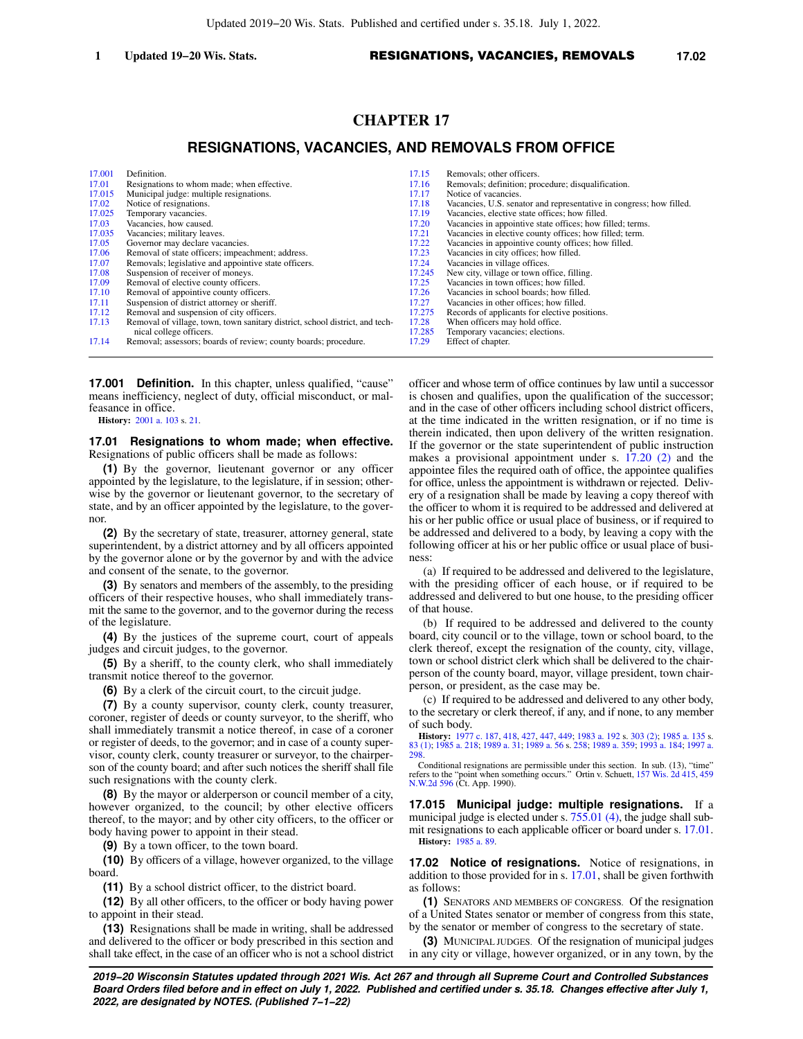# **CHAPTER 17**

## **RESIGNATIONS, VACANCIES, AND REMOVALS FROM OFFICE**

| 17.001 | Definition.                                                                  | 17.15  | Removals; other officers.                                           |
|--------|------------------------------------------------------------------------------|--------|---------------------------------------------------------------------|
| 17.01  | Resignations to whom made; when effective.                                   | 17.16  | Removals; definition; procedure; disqualification.                  |
| 17.015 | Municipal judge: multiple resignations.                                      | 17.17  | Notice of vacancies.                                                |
| 17.02  | Notice of resignations.                                                      | 17.18  | Vacancies, U.S. senator and representative in congress; how filled. |
| 17.025 | Temporary vacancies.                                                         | 17.19  | Vacancies, elective state offices; how filled.                      |
| 17.03  | Vacancies, how caused.                                                       | 17.20  | Vacancies in appointive state offices; how filled; terms.           |
| 17.035 | Vacancies; military leaves.                                                  | 17.21  | Vacancies in elective county offices; how filled; term.             |
| 17.05  | Governor may declare vacancies.                                              | 17.22  | Vacancies in appointive county offices; how filled.                 |
| 17.06  | Removal of state officers; impeachment; address.                             | 17.23  | Vacancies in city offices; how filled.                              |
| 17.07  | Removals; legislative and appointive state officers.                         | 17.24  | Vacancies in village offices.                                       |
| 17.08  | Suspension of receiver of moneys.                                            | 17.245 | New city, village or town office, filling.                          |
| 17.09  | Removal of elective county officers.                                         | 17.25  | Vacancies in town offices; how filled.                              |
| 17.10  | Removal of appointive county officers.                                       | 17.26  | Vacancies in school boards; how filled.                             |
| 17.11  | Suspension of district attorney or sheriff.                                  | 17.27  | Vacancies in other offices; how filled.                             |
| 17.12  | Removal and suspension of city officers.                                     | 17.275 | Records of applicants for elective positions.                       |
| 17.13  | Removal of village, town, town sanitary district, school district, and tech- | 17.28  | When officers may hold office.                                      |
|        | nical college officers.                                                      | 17.285 | Temporary vacancies; elections.                                     |
| 17.14  | Removal; assessors; boards of review; county boards; procedure.              | 17.29  | Effect of chapter.                                                  |

**17.001 Definition.** In this chapter, unless qualified, "cause" means inefficiency, neglect of duty, official misconduct, or malfeasance in office.

**History:** [2001 a. 103](https://docs.legis.wisconsin.gov/document/acts/2001/103) s. [21](https://docs.legis.wisconsin.gov/document/acts/2001/103,%20s.%2021).

#### **17.01 Resignations to whom made; when effective.** Resignations of public officers shall be made as follows:

**(1)** By the governor, lieutenant governor or any officer appointed by the legislature, to the legislature, if in session; otherwise by the governor or lieutenant governor, to the secretary of state, and by an officer appointed by the legislature, to the governor.

**(2)** By the secretary of state, treasurer, attorney general, state superintendent, by a district attorney and by all officers appointed by the governor alone or by the governor by and with the advice and consent of the senate, to the governor.

**(3)** By senators and members of the assembly, to the presiding officers of their respective houses, who shall immediately transmit the same to the governor, and to the governor during the recess of the legislature.

**(4)** By the justices of the supreme court, court of appeals judges and circuit judges, to the governor.

**(5)** By a sheriff, to the county clerk, who shall immediately transmit notice thereof to the governor.

**(6)** By a clerk of the circuit court, to the circuit judge.

**(7)** By a county supervisor, county clerk, county treasurer, coroner, register of deeds or county surveyor, to the sheriff, who shall immediately transmit a notice thereof, in case of a coroner or register of deeds, to the governor; and in case of a county supervisor, county clerk, county treasurer or surveyor, to the chairperson of the county board; and after such notices the sheriff shall file such resignations with the county clerk.

**(8)** By the mayor or alderperson or council member of a city, however organized, to the council; by other elective officers thereof, to the mayor; and by other city officers, to the officer or body having power to appoint in their stead.

**(9)** By a town officer, to the town board.

**(10)** By officers of a village, however organized, to the village board.

**(11)** By a school district officer, to the district board.

**(12)** By all other officers, to the officer or body having power to appoint in their stead.

**(13)** Resignations shall be made in writing, shall be addressed and delivered to the officer or body prescribed in this section and shall take effect, in the case of an officer who is not a school district officer and whose term of office continues by law until a successor is chosen and qualifies, upon the qualification of the successor; and in the case of other officers including school district officers, at the time indicated in the written resignation, or if no time is therein indicated, then upon delivery of the written resignation. If the governor or the state superintendent of public instruction makes a provisional appointment under s. [17.20 \(2\)](https://docs.legis.wisconsin.gov/document/statutes/17.20(2)) and the appointee files the required oath of office, the appointee qualifies for office, unless the appointment is withdrawn or rejected. Delivery of a resignation shall be made by leaving a copy thereof with the officer to whom it is required to be addressed and delivered at his or her public office or usual place of business, or if required to be addressed and delivered to a body, by leaving a copy with the following officer at his or her public office or usual place of business:

(a) If required to be addressed and delivered to the legislature, with the presiding officer of each house, or if required to be addressed and delivered to but one house, to the presiding officer of that house.

(b) If required to be addressed and delivered to the county board, city council or to the village, town or school board, to the clerk thereof, except the resignation of the county, city, village, town or school district clerk which shall be delivered to the chairperson of the county board, mayor, village president, town chairperson, or president, as the case may be.

(c) If required to be addressed and delivered to any other body, to the secretary or clerk thereof, if any, and if none, to any member of such body.

**History:** [1977 c. 187](https://docs.legis.wisconsin.gov/document/acts/1977/187), [418](https://docs.legis.wisconsin.gov/document/acts/1977/418), [427](https://docs.legis.wisconsin.gov/document/acts/1977/427), [447](https://docs.legis.wisconsin.gov/document/acts/1977/447), [449](https://docs.legis.wisconsin.gov/document/acts/1977/449); [1983 a. 192](https://docs.legis.wisconsin.gov/document/acts/1983/192) s. [303 \(2\)](https://docs.legis.wisconsin.gov/document/acts/1983/192,%20s.%20303); [1985 a. 135](https://docs.legis.wisconsin.gov/document/acts/1985/135) s. [83 \(1\);](https://docs.legis.wisconsin.gov/document/acts/1985/135,%20s.%2083) [1985 a. 218;](https://docs.legis.wisconsin.gov/document/acts/1985/218) [1989 a. 31](https://docs.legis.wisconsin.gov/document/acts/1989/31); [1989 a. 56](https://docs.legis.wisconsin.gov/document/acts/1989/56) s. [258](https://docs.legis.wisconsin.gov/document/acts/1989/56,%20s.%20258); [1989 a. 359](https://docs.legis.wisconsin.gov/document/acts/1989/359); [1993 a. 184](https://docs.legis.wisconsin.gov/document/acts/1993/184); [1997 a.](https://docs.legis.wisconsin.gov/document/acts/1997/298) [298.](https://docs.legis.wisconsin.gov/document/acts/1997/298)

Conditional resignations are permissible under this section. In sub. (13), "time" refers to the "point when something occurs." Ortin v. Schuett, [157 Wis. 2d 415,](https://docs.legis.wisconsin.gov/document/courts/157%20Wis.%202d%20415) [459](https://docs.legis.wisconsin.gov/document/courts/459%20N.W.2d%20596) [N.W.2d 596](https://docs.legis.wisconsin.gov/document/courts/459%20N.W.2d%20596) (Ct. App. 1990).

**17.015 Municipal judge: multiple resignations.** If a municipal judge is elected under s. [755.01 \(4\)](https://docs.legis.wisconsin.gov/document/statutes/755.01(4)), the judge shall submit resignations to each applicable officer or board under s. [17.01.](https://docs.legis.wisconsin.gov/document/statutes/17.01) **History:** [1985 a. 89](https://docs.legis.wisconsin.gov/document/acts/1985/89).

**17.02 Notice of resignations.** Notice of resignations, in addition to those provided for in s. [17.01,](https://docs.legis.wisconsin.gov/document/statutes/17.01) shall be given forthwith as follows:

**(1)** SENATORS AND MEMBERS OF CONGRESS. Of the resignation of a United States senator or member of congress from this state, by the senator or member of congress to the secretary of state.

**(3)** MUNICIPAL JUDGES. Of the resignation of municipal judges in any city or village, however organized, or in any town, by the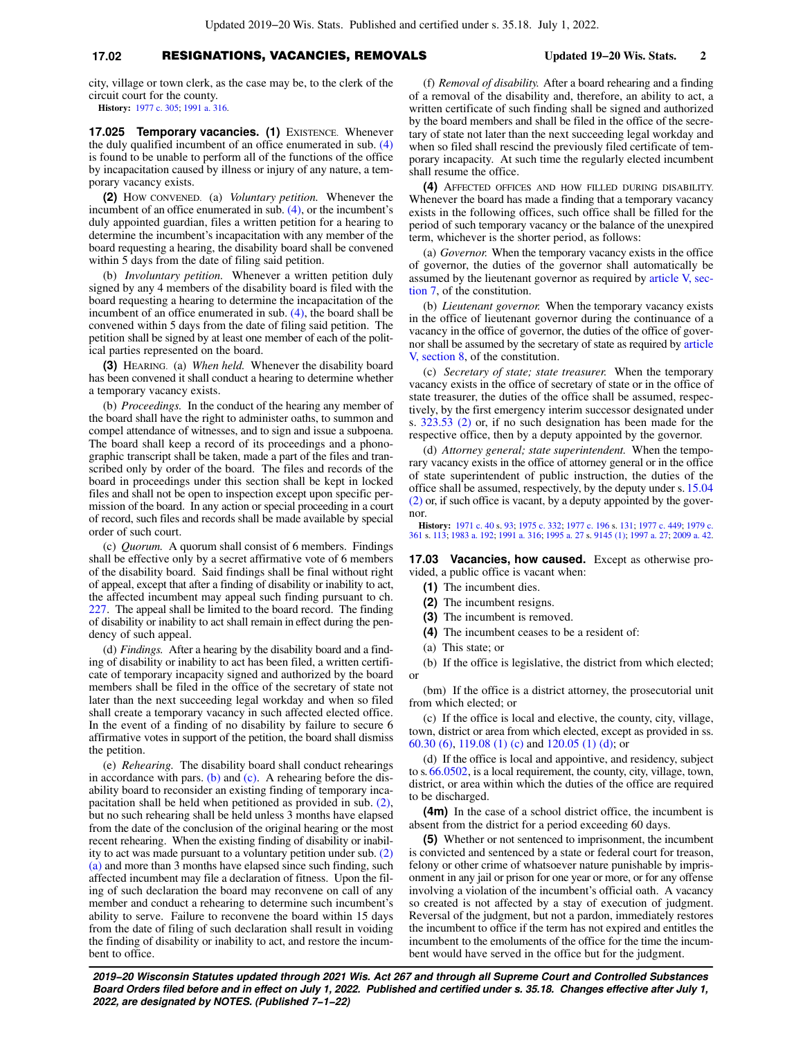### **17.02** RESIGNATIONS, VACANCIES, REMOVALS **Updated 19−20 Wis. Stats. 2**

city, village or town clerk, as the case may be, to the clerk of the circuit court for the county.

**History:** [1977 c. 305](https://docs.legis.wisconsin.gov/document/acts/1977/305); [1991 a. 316](https://docs.legis.wisconsin.gov/document/acts/1991/316).

**17.025 Temporary vacancies. (1)** EXISTENCE. Whenever the duly qualified incumbent of an office enumerated in sub. [\(4\)](https://docs.legis.wisconsin.gov/document/statutes/17.025(4)) is found to be unable to perform all of the functions of the office by incapacitation caused by illness or injury of any nature, a temporary vacancy exists.

**(2)** HOW CONVENED. (a) *Voluntary petition.* Whenever the incumbent of an office enumerated in sub. [\(4\),](https://docs.legis.wisconsin.gov/document/statutes/17.025(4)) or the incumbent's duly appointed guardian, files a written petition for a hearing to determine the incumbent's incapacitation with any member of the board requesting a hearing, the disability board shall be convened within 5 days from the date of filing said petition.

(b) *Involuntary petition.* Whenever a written petition duly signed by any 4 members of the disability board is filed with the board requesting a hearing to determine the incapacitation of the incumbent of an office enumerated in sub. [\(4\)](https://docs.legis.wisconsin.gov/document/statutes/17.025(4)), the board shall be convened within 5 days from the date of filing said petition. The petition shall be signed by at least one member of each of the political parties represented on the board.

**(3)** HEARING. (a) *When held.* Whenever the disability board has been convened it shall conduct a hearing to determine whether a temporary vacancy exists.

(b) *Proceedings.* In the conduct of the hearing any member of the board shall have the right to administer oaths, to summon and compel attendance of witnesses, and to sign and issue a subpoena. The board shall keep a record of its proceedings and a phonographic transcript shall be taken, made a part of the files and transcribed only by order of the board. The files and records of the board in proceedings under this section shall be kept in locked files and shall not be open to inspection except upon specific permission of the board. In any action or special proceeding in a court of record, such files and records shall be made available by special order of such court.

(c) *Quorum.* A quorum shall consist of 6 members. Findings shall be effective only by a secret affirmative vote of 6 members of the disability board. Said findings shall be final without right of appeal, except that after a finding of disability or inability to act, the affected incumbent may appeal such finding pursuant to ch. [227](https://docs.legis.wisconsin.gov/document/statutes/ch.%20227). The appeal shall be limited to the board record. The finding of disability or inability to act shall remain in effect during the pendency of such appeal.

(d) *Findings.* After a hearing by the disability board and a finding of disability or inability to act has been filed, a written certificate of temporary incapacity signed and authorized by the board members shall be filed in the office of the secretary of state not later than the next succeeding legal workday and when so filed shall create a temporary vacancy in such affected elected office. In the event of a finding of no disability by failure to secure 6 affirmative votes in support of the petition, the board shall dismiss the petition.

(e) *Rehearing.* The disability board shall conduct rehearings in accordance with pars. [\(b\)](https://docs.legis.wisconsin.gov/document/statutes/17.025(3)(b)) and [\(c\).](https://docs.legis.wisconsin.gov/document/statutes/17.025(3)(c)) A rehearing before the disability board to reconsider an existing finding of temporary incapacitation shall be held when petitioned as provided in sub. [\(2\),](https://docs.legis.wisconsin.gov/document/statutes/17.025(2)) but no such rehearing shall be held unless 3 months have elapsed from the date of the conclusion of the original hearing or the most recent rehearing. When the existing finding of disability or inability to act was made pursuant to a voluntary petition under sub. [\(2\)](https://docs.legis.wisconsin.gov/document/statutes/17.025(2)(a)) [\(a\)](https://docs.legis.wisconsin.gov/document/statutes/17.025(2)(a)) and more than 3 months have elapsed since such finding, such affected incumbent may file a declaration of fitness. Upon the filing of such declaration the board may reconvene on call of any member and conduct a rehearing to determine such incumbent's ability to serve. Failure to reconvene the board within 15 days from the date of filing of such declaration shall result in voiding the finding of disability or inability to act, and restore the incumbent to office.

(f) *Removal of disability.* After a board rehearing and a finding of a removal of the disability and, therefore, an ability to act, a written certificate of such finding shall be signed and authorized by the board members and shall be filed in the office of the secretary of state not later than the next succeeding legal workday and when so filed shall rescind the previously filed certificate of temporary incapacity. At such time the regularly elected incumbent shall resume the office.

**(4)** AFFECTED OFFICES AND HOW FILLED DURING DISABILITY. Whenever the board has made a finding that a temporary vacancy exists in the following offices, such office shall be filled for the period of such temporary vacancy or the balance of the unexpired term, whichever is the shorter period, as follows:

(a) *Governor.* When the temporary vacancy exists in the office of governor, the duties of the governor shall automatically be assumed by the lieutenant governor as required by [article V, sec](https://docs.legis.wisconsin.gov/document/wisconsinconstitution/V,7)[tion 7,](https://docs.legis.wisconsin.gov/document/wisconsinconstitution/V,7) of the constitution.

(b) *Lieutenant governor.* When the temporary vacancy exists in the office of lieutenant governor during the continuance of a vacancy in the office of governor, the duties of the office of governor shall be assumed by the secretary of state as required by [article](https://docs.legis.wisconsin.gov/document/wisconsinconstitution/V,8) [V, section 8](https://docs.legis.wisconsin.gov/document/wisconsinconstitution/V,8), of the constitution.

(c) *Secretary of state; state treasurer.* When the temporary vacancy exists in the office of secretary of state or in the office of state treasurer, the duties of the office shall be assumed, respectively, by the first emergency interim successor designated under s. [323.53 \(2\)](https://docs.legis.wisconsin.gov/document/statutes/323.53(2)) or, if no such designation has been made for the respective office, then by a deputy appointed by the governor.

(d) *Attorney general; state superintendent.* When the temporary vacancy exists in the office of attorney general or in the office of state superintendent of public instruction, the duties of the office shall be assumed, respectively, by the deputy under s. [15.04](https://docs.legis.wisconsin.gov/document/statutes/15.04(2)) [\(2\)](https://docs.legis.wisconsin.gov/document/statutes/15.04(2)) or, if such office is vacant, by a deputy appointed by the governor.

**History:** [1971 c. 40](https://docs.legis.wisconsin.gov/document/acts/1971/40) s. [93;](https://docs.legis.wisconsin.gov/document/acts/1971/40,%20s.%2093) [1975 c. 332](https://docs.legis.wisconsin.gov/document/acts/1975/332); [1977 c. 196](https://docs.legis.wisconsin.gov/document/acts/1977/196) s. [131](https://docs.legis.wisconsin.gov/document/acts/1977/196,%20s.%20131); [1977 c. 449;](https://docs.legis.wisconsin.gov/document/acts/1977/449) [1979 c.](https://docs.legis.wisconsin.gov/document/acts/1979/361) [361](https://docs.legis.wisconsin.gov/document/acts/1979/361) s. [113](https://docs.legis.wisconsin.gov/document/acts/1979/361,%20s.%20113); [1983 a. 192;](https://docs.legis.wisconsin.gov/document/acts/1983/192) [1991 a. 316;](https://docs.legis.wisconsin.gov/document/acts/1991/316) [1995 a. 27](https://docs.legis.wisconsin.gov/document/acts/1995/27) s. [9145 \(1\)](https://docs.legis.wisconsin.gov/document/acts/1995/27,%20s.%209145); [1997 a. 27;](https://docs.legis.wisconsin.gov/document/acts/1997/27) [2009 a. 42](https://docs.legis.wisconsin.gov/document/acts/2009/42).

**17.03 Vacancies, how caused.** Except as otherwise provided, a public office is vacant when:

- **(1)** The incumbent dies.
- **(2)** The incumbent resigns.
- **(3)** The incumbent is removed.
- **(4)** The incumbent ceases to be a resident of:
- (a) This state; or

(b) If the office is legislative, the district from which elected; or

(bm) If the office is a district attorney, the prosecutorial unit from which elected; or

(c) If the office is local and elective, the county, city, village, town, district or area from which elected, except as provided in ss. [60.30 \(6\)](https://docs.legis.wisconsin.gov/document/statutes/60.30(6)), [119.08 \(1\) \(c\)](https://docs.legis.wisconsin.gov/document/statutes/119.08(1)(c)) and [120.05 \(1\) \(d\);](https://docs.legis.wisconsin.gov/document/statutes/120.05(1)(d)) or

(d) If the office is local and appointive, and residency, subject to s. [66.0502,](https://docs.legis.wisconsin.gov/document/statutes/66.0502) is a local requirement, the county, city, village, town, district, or area within which the duties of the office are required to be discharged.

**(4m)** In the case of a school district office, the incumbent is absent from the district for a period exceeding 60 days.

**(5)** Whether or not sentenced to imprisonment, the incumbent is convicted and sentenced by a state or federal court for treason, felony or other crime of whatsoever nature punishable by imprisonment in any jail or prison for one year or more, or for any offense involving a violation of the incumbent's official oath. A vacancy so created is not affected by a stay of execution of judgment. Reversal of the judgment, but not a pardon, immediately restores the incumbent to office if the term has not expired and entitles the incumbent to the emoluments of the office for the time the incumbent would have served in the office but for the judgment.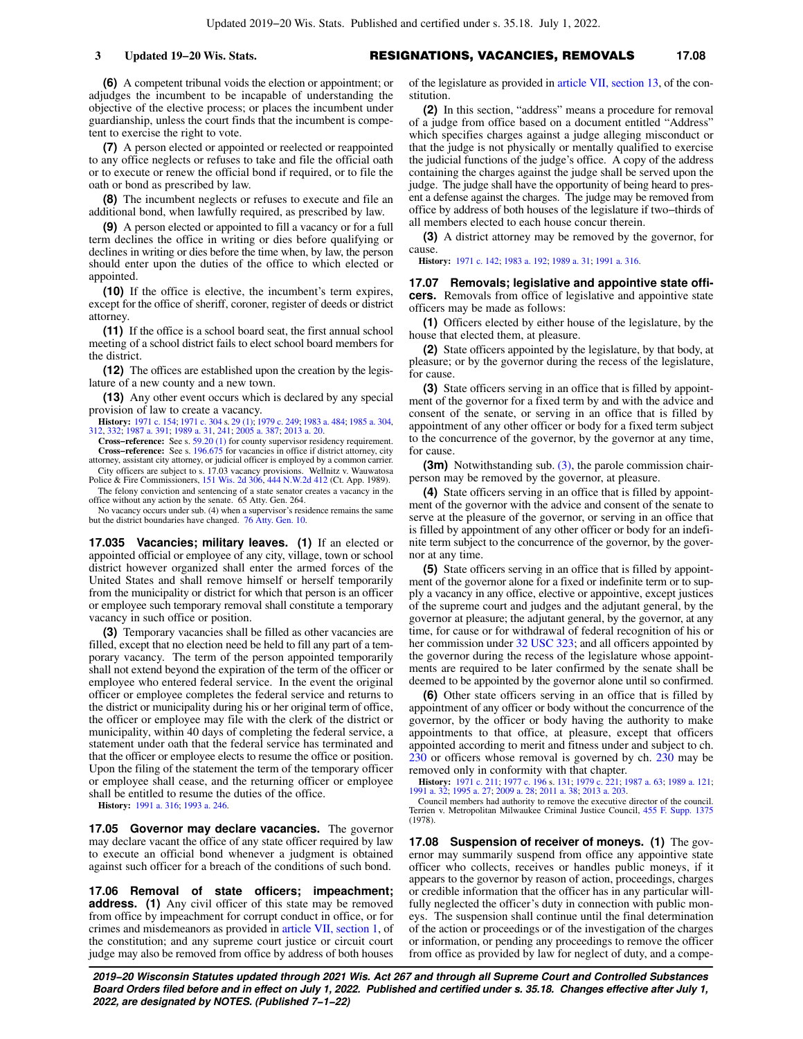#### **3 Updated 19−20 Wis. Stats.** RESIGNATIONS, VACANCIES, REMOVALS **17.08**

**(6)** A competent tribunal voids the election or appointment; or adjudges the incumbent to be incapable of understanding the objective of the elective process; or places the incumbent under guardianship, unless the court finds that the incumbent is competent to exercise the right to vote.

**(7)** A person elected or appointed or reelected or reappointed to any office neglects or refuses to take and file the official oath or to execute or renew the official bond if required, or to file the oath or bond as prescribed by law.

**(8)** The incumbent neglects or refuses to execute and file an additional bond, when lawfully required, as prescribed by law.

**(9)** A person elected or appointed to fill a vacancy or for a full term declines the office in writing or dies before qualifying or declines in writing or dies before the time when, by law, the person should enter upon the duties of the office to which elected or appointed.

**(10)** If the office is elective, the incumbent's term expires, except for the office of sheriff, coroner, register of deeds or district attorney.

**(11)** If the office is a school board seat, the first annual school meeting of a school district fails to elect school board members for the district.

**(12)** The offices are established upon the creation by the legislature of a new county and a new town.

**(13)** Any other event occurs which is declared by any special provision of law to create a vacancy.

**History:** [1971 c. 154](https://docs.legis.wisconsin.gov/document/acts/1971/154); [1971 c. 304](https://docs.legis.wisconsin.gov/document/acts/1971/304) s. [29 \(1\);](https://docs.legis.wisconsin.gov/document/acts/1971/304,%20s.%2029) [1979 c. 249](https://docs.legis.wisconsin.gov/document/acts/1979/249); [1983 a. 484](https://docs.legis.wisconsin.gov/document/acts/1983/484); [1985 a. 304](https://docs.legis.wisconsin.gov/document/acts/1985/304), [312](https://docs.legis.wisconsin.gov/document/acts/1985/312), [332](https://docs.legis.wisconsin.gov/document/acts/1985/332); [1987 a. 391](https://docs.legis.wisconsin.gov/document/acts/1987/391); [1989 a. 31](https://docs.legis.wisconsin.gov/document/acts/1989/31), [241](https://docs.legis.wisconsin.gov/document/acts/1989/241); [2005 a. 387;](https://docs.legis.wisconsin.gov/document/acts/2005/387) [2013 a. 20](https://docs.legis.wisconsin.gov/document/acts/2013/20).

**Cross−reference:** See s. [59.20 \(1\)](https://docs.legis.wisconsin.gov/document/statutes/59.20(1)) for county supervisor residency requirement. **Cross−reference:** See s. [196.675](https://docs.legis.wisconsin.gov/document/statutes/196.675) for vacancies in office if district attorney, city attorney, assistant city attorney, or judicial officer is employed by a common carrier.

City officers are subject to s. 17.03 vacancy provisions. Wellnitz v. Wauwatosa Police & Fire Commissioners, [151 Wis. 2d 306](https://docs.legis.wisconsin.gov/document/courts/151%20Wis.%202d%20306), [444 N.W.2d 412](https://docs.legis.wisconsin.gov/document/courts/444%20N.W.2d%20412) (Ct. App. 1989). The felony conviction and sentencing of a state senator creates a vacancy in the

office without any action by the senate. 65 Atty. Gen. 264. No vacancy occurs under sub. (4) when a supervisor's residence remains the same but the district boundaries have changed. [76 Atty. Gen. 10.](https://docs.legis.wisconsin.gov/document/oag/vol76-10)

**17.035 Vacancies; military leaves. (1)** If an elected or appointed official or employee of any city, village, town or school district however organized shall enter the armed forces of the United States and shall remove himself or herself temporarily from the municipality or district for which that person is an officer or employee such temporary removal shall constitute a temporary vacancy in such office or position.

**(3)** Temporary vacancies shall be filled as other vacancies are filled, except that no election need be held to fill any part of a temporary vacancy. The term of the person appointed temporarily shall not extend beyond the expiration of the term of the officer or employee who entered federal service. In the event the original officer or employee completes the federal service and returns to the district or municipality during his or her original term of office, the officer or employee may file with the clerk of the district or municipality, within 40 days of completing the federal service, a statement under oath that the federal service has terminated and that the officer or employee elects to resume the office or position. Upon the filing of the statement the term of the temporary officer or employee shall cease, and the returning officer or employee shall be entitled to resume the duties of the office.

**History:** [1991 a. 316](https://docs.legis.wisconsin.gov/document/acts/1991/316); [1993 a. 246](https://docs.legis.wisconsin.gov/document/acts/1993/246).

**17.05 Governor may declare vacancies.** The governor may declare vacant the office of any state officer required by law to execute an official bond whenever a judgment is obtained against such officer for a breach of the conditions of such bond.

**17.06 Removal of state officers; impeachment; address.** (1) Any civil officer of this state may be removed from office by impeachment for corrupt conduct in office, or for crimes and misdemeanors as provided in [article VII, section 1](https://docs.legis.wisconsin.gov/document/wisconsinconstitution/VII,1), of the constitution; and any supreme court justice or circuit court judge may also be removed from office by address of both houses

of the legislature as provided in [article VII, section 13](https://docs.legis.wisconsin.gov/document/wisconsinconstitution/VII,13), of the constitution.

**(2)** In this section, "address" means a procedure for removal of a judge from office based on a document entitled "Address" which specifies charges against a judge alleging misconduct or that the judge is not physically or mentally qualified to exercise the judicial functions of the judge's office. A copy of the address containing the charges against the judge shall be served upon the judge. The judge shall have the opportunity of being heard to present a defense against the charges. The judge may be removed from office by address of both houses of the legislature if two−thirds of all members elected to each house concur therein.

**(3)** A district attorney may be removed by the governor, for cause.

**History:** [1971 c. 142;](https://docs.legis.wisconsin.gov/document/acts/1971/142) [1983 a. 192](https://docs.legis.wisconsin.gov/document/acts/1983/192); [1989 a. 31](https://docs.legis.wisconsin.gov/document/acts/1989/31); [1991 a. 316](https://docs.legis.wisconsin.gov/document/acts/1991/316).

**17.07 Removals; legislative and appointive state officers.** Removals from office of legislative and appointive state officers may be made as follows:

**(1)** Officers elected by either house of the legislature, by the house that elected them, at pleasure.

**(2)** State officers appointed by the legislature, by that body, at pleasure; or by the governor during the recess of the legislature, for cause.

**(3)** State officers serving in an office that is filled by appointment of the governor for a fixed term by and with the advice and consent of the senate, or serving in an office that is filled by appointment of any other officer or body for a fixed term subject to the concurrence of the governor, by the governor at any time, for cause.

**(3m)** Notwithstanding sub. [\(3\),](https://docs.legis.wisconsin.gov/document/statutes/17.07(3)) the parole commission chairperson may be removed by the governor, at pleasure.

**(4)** State officers serving in an office that is filled by appointment of the governor with the advice and consent of the senate to serve at the pleasure of the governor, or serving in an office that is filled by appointment of any other officer or body for an indefinite term subject to the concurrence of the governor, by the governor at any time.

**(5)** State officers serving in an office that is filled by appointment of the governor alone for a fixed or indefinite term or to supply a vacancy in any office, elective or appointive, except justices of the supreme court and judges and the adjutant general, by the governor at pleasure; the adjutant general, by the governor, at any time, for cause or for withdrawal of federal recognition of his or her commission under [32 USC 323;](https://docs.legis.wisconsin.gov/document/usc/32%20USC%20323) and all officers appointed by the governor during the recess of the legislature whose appointments are required to be later confirmed by the senate shall be deemed to be appointed by the governor alone until so confirmed.

**(6)** Other state officers serving in an office that is filled by appointment of any officer or body without the concurrence of the governor, by the officer or body having the authority to make appointments to that office, at pleasure, except that officers appointed according to merit and fitness under and subject to ch. [230](https://docs.legis.wisconsin.gov/document/statutes/ch.%20230) or officers whose removal is governed by ch. [230](https://docs.legis.wisconsin.gov/document/statutes/ch.%20230) may be removed only in conformity with that chapter.

**History:** [1971 c. 211](https://docs.legis.wisconsin.gov/document/acts/1971/211); [1977 c. 196](https://docs.legis.wisconsin.gov/document/acts/1977/196) s. [131;](https://docs.legis.wisconsin.gov/document/acts/1977/196,%20s.%20131) [1979 c. 221](https://docs.legis.wisconsin.gov/document/acts/1979/221); [1987 a. 63;](https://docs.legis.wisconsin.gov/document/acts/1987/63) [1989 a. 121](https://docs.legis.wisconsin.gov/document/acts/1989/121); [1991 a. 32](https://docs.legis.wisconsin.gov/document/acts/1991/32); [1995 a. 27;](https://docs.legis.wisconsin.gov/document/acts/1995/27) [2009 a. 28;](https://docs.legis.wisconsin.gov/document/acts/2009/28) [2011 a. 38;](https://docs.legis.wisconsin.gov/document/acts/2011/38) [2013 a. 203](https://docs.legis.wisconsin.gov/document/acts/2013/203).

Council members had authority to remove the executive director of the council. Terrien v. Metropolitan Milwaukee Criminal Justice Council, [455 F. Supp. 1375](https://docs.legis.wisconsin.gov/document/courts/455%20F.%20Supp.%201375) (1978).

**17.08 Suspension of receiver of moneys. (1)** The governor may summarily suspend from office any appointive state officer who collects, receives or handles public moneys, if it appears to the governor by reason of action, proceedings, charges or credible information that the officer has in any particular willfully neglected the officer's duty in connection with public moneys. The suspension shall continue until the final determination of the action or proceedings or of the investigation of the charges or information, or pending any proceedings to remove the officer from office as provided by law for neglect of duty, and a compe-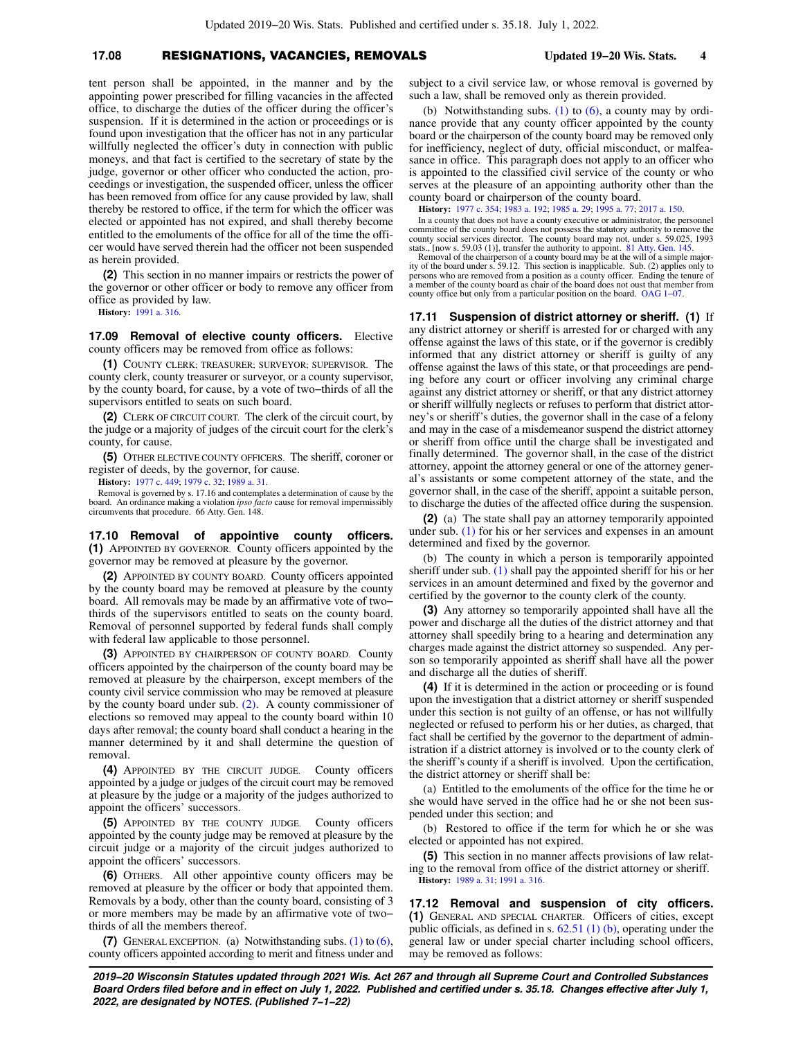#### **17.08** RESIGNATIONS, VACANCIES, REMOVALS **Updated 19−20 Wis. Stats. 4**

tent person shall be appointed, in the manner and by the appointing power prescribed for filling vacancies in the affected office, to discharge the duties of the officer during the officer's suspension. If it is determined in the action or proceedings or is found upon investigation that the officer has not in any particular willfully neglected the officer's duty in connection with public moneys, and that fact is certified to the secretary of state by the judge, governor or other officer who conducted the action, proceedings or investigation, the suspended officer, unless the officer has been removed from office for any cause provided by law, shall thereby be restored to office, if the term for which the officer was elected or appointed has not expired, and shall thereby become entitled to the emoluments of the office for all of the time the officer would have served therein had the officer not been suspended as herein provided.

**(2)** This section in no manner impairs or restricts the power of the governor or other officer or body to remove any officer from office as provided by law.

**History:** [1991 a. 316](https://docs.legis.wisconsin.gov/document/acts/1991/316).

**17.09 Removal of elective county officers.** Elective county officers may be removed from office as follows:

**(1)** COUNTY CLERK; TREASURER; SURVEYOR; SUPERVISOR. The county clerk, county treasurer or surveyor, or a county supervisor, by the county board, for cause, by a vote of two−thirds of all the supervisors entitled to seats on such board.

**(2)** CLERK OF CIRCUIT COURT. The clerk of the circuit court, by the judge or a majority of judges of the circuit court for the clerk's county, for cause.

**(5)** OTHER ELECTIVE COUNTY OFFICERS. The sheriff, coroner or register of deeds, by the governor, for cause.

**History:** [1977 c. 449](https://docs.legis.wisconsin.gov/document/acts/1977/449); [1979 c. 32;](https://docs.legis.wisconsin.gov/document/acts/1979/32) [1989 a. 31.](https://docs.legis.wisconsin.gov/document/acts/1989/31)

Removal is governed by s. 17.16 and contemplates a determination of cause by the board. An ordinance making a violation *ipso facto* cause for removal impermissibly circumvents that procedure. 66 Atty. Gen. 148.

**17.10 Removal of appointive county officers. (1)** APPOINTED BY GOVERNOR. County officers appointed by the governor may be removed at pleasure by the governor.

**(2)** APPOINTED BY COUNTY BOARD. County officers appointed by the county board may be removed at pleasure by the county board. All removals may be made by an affirmative vote of two− thirds of the supervisors entitled to seats on the county board. Removal of personnel supported by federal funds shall comply with federal law applicable to those personnel.

**(3)** APPOINTED BY CHAIRPERSON OF COUNTY BOARD. County officers appointed by the chairperson of the county board may be removed at pleasure by the chairperson, except members of the county civil service commission who may be removed at pleasure by the county board under sub. [\(2\)](https://docs.legis.wisconsin.gov/document/statutes/17.10(2)). A county commissioner of elections so removed may appeal to the county board within 10 days after removal; the county board shall conduct a hearing in the manner determined by it and shall determine the question of removal.

**(4)** APPOINTED BY THE CIRCUIT JUDGE. County officers appointed by a judge or judges of the circuit court may be removed at pleasure by the judge or a majority of the judges authorized to appoint the officers' successors.

**(5)** APPOINTED BY THE COUNTY JUDGE. County officers appointed by the county judge may be removed at pleasure by the circuit judge or a majority of the circuit judges authorized to appoint the officers' successors.

**(6)** OTHERS. All other appointive county officers may be removed at pleasure by the officer or body that appointed them. Removals by a body, other than the county board, consisting of 3 or more members may be made by an affirmative vote of two− thirds of all the members thereof.

**(7)** GENERAL EXCEPTION. (a) Notwithstanding subs. [\(1\)](https://docs.legis.wisconsin.gov/document/statutes/17.10(1)) to [\(6\),](https://docs.legis.wisconsin.gov/document/statutes/17.10(6)) county officers appointed according to merit and fitness under and subject to a civil service law, or whose removal is governed by such a law, shall be removed only as therein provided.

(b) Notwithstanding subs. [\(1\)](https://docs.legis.wisconsin.gov/document/statutes/17.10(1)) to  $(6)$ , a county may by ordinance provide that any county officer appointed by the county board or the chairperson of the county board may be removed only for inefficiency, neglect of duty, official misconduct, or malfeasance in office. This paragraph does not apply to an officer who is appointed to the classified civil service of the county or who serves at the pleasure of an appointing authority other than the county board or chairperson of the county board.

**History:** [1977 c. 354;](https://docs.legis.wisconsin.gov/document/acts/1977/354) [1983 a. 192](https://docs.legis.wisconsin.gov/document/acts/1983/192); [1985 a. 29](https://docs.legis.wisconsin.gov/document/acts/1985/29); [1995 a. 77;](https://docs.legis.wisconsin.gov/document/acts/1995/77) [2017 a. 150](https://docs.legis.wisconsin.gov/document/acts/2017/150).

In a county that does not have a county executive or administrator, the personnel committee of the county board does not possess the statutory authority to remove the county social services director. The county board may not, under s. 59.025, 1993 stats., [now s. 59.03 (1)], transfer the authority to appoint. [81 Atty. Gen. 145.](https://docs.legis.wisconsin.gov/document/oag/vol81-145) Removal of the chairperson of a county board may be at the will of a simple major-

ity of the board under s. 59.12. This section is inapplicable. Sub. (2) applies only to persons who are removed from a position as a county officer. Ending the tenure of a member of the county board as chair of the board does not oust that member from county office but only from a particular position on the board. [OAG 1−07](https://docs.legis.wisconsin.gov/document/oag/oag1-07).

**17.11 Suspension of district attorney or sheriff. (1)** If any district attorney or sheriff is arrested for or charged with any offense against the laws of this state, or if the governor is credibly informed that any district attorney or sheriff is guilty of any offense against the laws of this state, or that proceedings are pending before any court or officer involving any criminal charge against any district attorney or sheriff, or that any district attorney or sheriff willfully neglects or refuses to perform that district attorney's or sheriff's duties, the governor shall in the case of a felony and may in the case of a misdemeanor suspend the district attorney or sheriff from office until the charge shall be investigated and finally determined. The governor shall, in the case of the district attorney, appoint the attorney general or one of the attorney general's assistants or some competent attorney of the state, and the governor shall, in the case of the sheriff, appoint a suitable person, to discharge the duties of the affected office during the suspension.

**(2)** (a) The state shall pay an attorney temporarily appointed under sub. [\(1\)](https://docs.legis.wisconsin.gov/document/statutes/17.11(1)) for his or her services and expenses in an amount determined and fixed by the governor.

(b) The county in which a person is temporarily appointed sheriff under sub. [\(1\)](https://docs.legis.wisconsin.gov/document/statutes/17.11(1)) shall pay the appointed sheriff for his or her services in an amount determined and fixed by the governor and certified by the governor to the county clerk of the county.

**(3)** Any attorney so temporarily appointed shall have all the power and discharge all the duties of the district attorney and that attorney shall speedily bring to a hearing and determination any charges made against the district attorney so suspended. Any person so temporarily appointed as sheriff shall have all the power and discharge all the duties of sheriff.

**(4)** If it is determined in the action or proceeding or is found upon the investigation that a district attorney or sheriff suspended under this section is not guilty of an offense, or has not willfully neglected or refused to perform his or her duties, as charged, that fact shall be certified by the governor to the department of administration if a district attorney is involved or to the county clerk of the sheriff's county if a sheriff is involved. Upon the certification, the district attorney or sheriff shall be:

(a) Entitled to the emoluments of the office for the time he or she would have served in the office had he or she not been suspended under this section; and

(b) Restored to office if the term for which he or she was elected or appointed has not expired.

**(5)** This section in no manner affects provisions of law relating to the removal from office of the district attorney or sheriff. **History:** [1989 a. 31](https://docs.legis.wisconsin.gov/document/acts/1989/31); [1991 a. 316.](https://docs.legis.wisconsin.gov/document/acts/1991/316)

**17.12 Removal and suspension of city officers. (1)** GENERAL AND SPECIAL CHARTER. Officers of cities, except public officials, as defined in s. [62.51 \(1\) \(b\)](https://docs.legis.wisconsin.gov/document/statutes/62.51(1)(b)), operating under the general law or under special charter including school officers, may be removed as follows: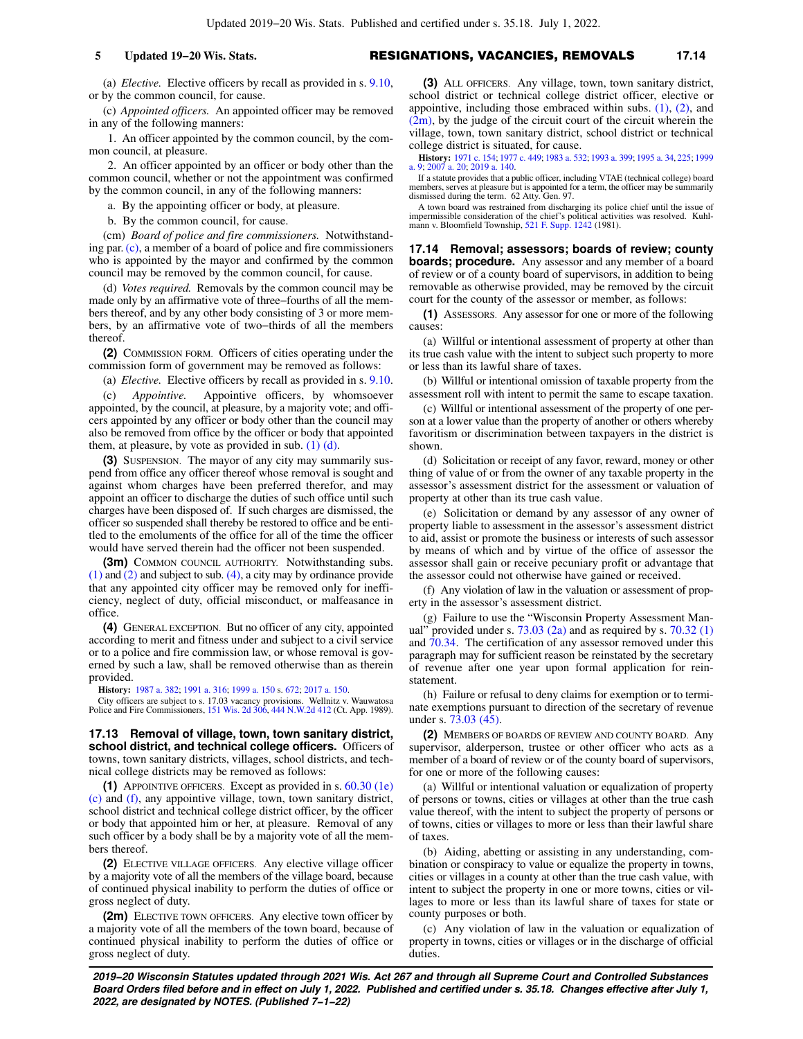#### **5 Updated 19−20 Wis. Stats.** RESIGNATIONS, VACANCIES, REMOVALS **17.14**

(a) *Elective.* Elective officers by recall as provided in s. [9.10,](https://docs.legis.wisconsin.gov/document/statutes/9.10) or by the common council, for cause.

(c) *Appointed officers.* An appointed officer may be removed in any of the following manners:

1. An officer appointed by the common council, by the common council, at pleasure.

2. An officer appointed by an officer or body other than the common council, whether or not the appointment was confirmed by the common council, in any of the following manners:

a. By the appointing officer or body, at pleasure.

b. By the common council, for cause.

(cm) *Board of police and fire commissioners.* Notwithstanding par. [\(c\),](https://docs.legis.wisconsin.gov/document/statutes/17.12(1)(c)) a member of a board of police and fire commissioners who is appointed by the mayor and confirmed by the common council may be removed by the common council, for cause.

(d) *Votes required.* Removals by the common council may be made only by an affirmative vote of three−fourths of all the members thereof, and by any other body consisting of 3 or more members, by an affirmative vote of two−thirds of all the members thereof.

**(2)** COMMISSION FORM. Officers of cities operating under the commission form of government may be removed as follows:

(a) *Elective.* Elective officers by recall as provided in s. [9.10.](https://docs.legis.wisconsin.gov/document/statutes/9.10)

(c) *Appointive.* Appointive officers, by whomsoever appointed, by the council, at pleasure, by a majority vote; and officers appointed by any officer or body other than the council may also be removed from office by the officer or body that appointed them, at pleasure, by vote as provided in sub.  $(1)$   $(d)$ .

**(3)** SUSPENSION. The mayor of any city may summarily suspend from office any officer thereof whose removal is sought and against whom charges have been preferred therefor, and may appoint an officer to discharge the duties of such office until such charges have been disposed of. If such charges are dismissed, the officer so suspended shall thereby be restored to office and be entitled to the emoluments of the office for all of the time the officer would have served therein had the officer not been suspended.

**(3m)** COMMON COUNCIL AUTHORITY. Notwithstanding subs. [\(1\)](https://docs.legis.wisconsin.gov/document/statutes/17.12(1)) and [\(2\)](https://docs.legis.wisconsin.gov/document/statutes/17.12(2)) and subject to sub. [\(4\)](https://docs.legis.wisconsin.gov/document/statutes/17.12(4)), a city may by ordinance provide that any appointed city officer may be removed only for inefficiency, neglect of duty, official misconduct, or malfeasance in office.

**(4)** GENERAL EXCEPTION. But no officer of any city, appointed according to merit and fitness under and subject to a civil service or to a police and fire commission law, or whose removal is governed by such a law, shall be removed otherwise than as therein provided.

**History:** [1987 a. 382](https://docs.legis.wisconsin.gov/document/acts/1987/382); [1991 a. 316](https://docs.legis.wisconsin.gov/document/acts/1991/316); [1999 a. 150](https://docs.legis.wisconsin.gov/document/acts/1999/150) s. [672](https://docs.legis.wisconsin.gov/document/acts/1999/150,%20s.%20672); [2017 a. 150.](https://docs.legis.wisconsin.gov/document/acts/2017/150)

City officers are subject to s. 17.03 vacancy provisions. Wellnitz v. Wauwatosa Police and Fire Commissioners, [151 Wis. 2d 306,](https://docs.legis.wisconsin.gov/document/courts/151%20Wis.%202d%20306) [444 N.W.2d 412](https://docs.legis.wisconsin.gov/document/courts/444%20N.W.2d%20412) (Ct. App. 1989).

**17.13 Removal of village, town, town sanitary district, school district, and technical college officers.** Officers of towns, town sanitary districts, villages, school districts, and technical college districts may be removed as follows:

**(1)** APPOINTIVE OFFICERS. Except as provided in s. [60.30 \(1e\)](https://docs.legis.wisconsin.gov/document/statutes/60.30(1e)(c)) [\(c\)](https://docs.legis.wisconsin.gov/document/statutes/60.30(1e)(c)) and [\(f\),](https://docs.legis.wisconsin.gov/document/statutes/60.30(1e)(f)) any appointive village, town, town sanitary district, school district and technical college district officer, by the officer or body that appointed him or her, at pleasure. Removal of any such officer by a body shall be by a majority vote of all the members thereof.

**(2)** ELECTIVE VILLAGE OFFICERS. Any elective village officer by a majority vote of all the members of the village board, because of continued physical inability to perform the duties of office or gross neglect of duty.

**(2m)** ELECTIVE TOWN OFFICERS. Any elective town officer by a majority vote of all the members of the town board, because of continued physical inability to perform the duties of office or gross neglect of duty.

**(3)** ALL OFFICERS. Any village, town, town sanitary district, school district or technical college district officer, elective or appointive, including those embraced within subs.  $(1)$ ,  $(2)$ , and  $(2m)$ , by the judge of the circuit court of the circuit wherein the village, town, town sanitary district, school district or technical college district is situated, for cause.

**History:** [1971 c. 154](https://docs.legis.wisconsin.gov/document/acts/1971/154); [1977 c. 449;](https://docs.legis.wisconsin.gov/document/acts/1977/449) [1983 a. 532;](https://docs.legis.wisconsin.gov/document/acts/1983/532) [1993 a. 399;](https://docs.legis.wisconsin.gov/document/acts/1993/399) [1995 a. 34,](https://docs.legis.wisconsin.gov/document/acts/1995/34) [225](https://docs.legis.wisconsin.gov/document/acts/1995/225); [1999](https://docs.legis.wisconsin.gov/document/acts/1999/9) [a. 9](https://docs.legis.wisconsin.gov/document/acts/1999/9); [2007 a. 20](https://docs.legis.wisconsin.gov/document/acts/2007/20); [2019 a. 140.](https://docs.legis.wisconsin.gov/document/acts/2019/140)

If a statute provides that a public officer, including VTAE (technical college) board members, serves at pleasure but is appointed for a term, the officer may be summarily dismissed during the term. 62 Atty. Gen. 97.

A town board was restrained from discharging its police chief until the issue of impermissible consideration of the chief's political activities was resolved. Kuhl-<br>mann v. Bloomfield Township, [521 F. Supp. 1242](https://docs.legis.wisconsin.gov/document/courts/521%20F.%20Supp.%201242) (1981).

**17.14 Removal; assessors; boards of review; county boards; procedure.** Any assessor and any member of a board of review or of a county board of supervisors, in addition to being removable as otherwise provided, may be removed by the circuit court for the county of the assessor or member, as follows:

**(1)** ASSESSORS. Any assessor for one or more of the following causes:

(a) Willful or intentional assessment of property at other than its true cash value with the intent to subject such property to more or less than its lawful share of taxes.

(b) Willful or intentional omission of taxable property from the assessment roll with intent to permit the same to escape taxation.

(c) Willful or intentional assessment of the property of one person at a lower value than the property of another or others whereby favoritism or discrimination between taxpayers in the district is shown.

(d) Solicitation or receipt of any favor, reward, money or other thing of value of or from the owner of any taxable property in the assessor's assessment district for the assessment or valuation of property at other than its true cash value.

(e) Solicitation or demand by any assessor of any owner of property liable to assessment in the assessor's assessment district to aid, assist or promote the business or interests of such assessor by means of which and by virtue of the office of assessor the assessor shall gain or receive pecuniary profit or advantage that the assessor could not otherwise have gained or received.

(f) Any violation of law in the valuation or assessment of property in the assessor's assessment district.

(g) Failure to use the "Wisconsin Property Assessment Man-<br>ual" provided under s.  $73.03(2a)$  and as required by s.  $70.32(1)$ ' provided under s.  $73.03$  (2a) and as required by s.  $70.32$  (1) and [70.34.](https://docs.legis.wisconsin.gov/document/statutes/70.34) The certification of any assessor removed under this paragraph may for sufficient reason be reinstated by the secretary of revenue after one year upon formal application for reinstatement.

(h) Failure or refusal to deny claims for exemption or to terminate exemptions pursuant to direction of the secretary of revenue under s. [73.03 \(45\).](https://docs.legis.wisconsin.gov/document/statutes/73.03(45))

**(2)** MEMBERS OF BOARDS OF REVIEW AND COUNTY BOARD. Any supervisor, alderperson, trustee or other officer who acts as a member of a board of review or of the county board of supervisors, for one or more of the following causes:

(a) Willful or intentional valuation or equalization of property of persons or towns, cities or villages at other than the true cash value thereof, with the intent to subject the property of persons or of towns, cities or villages to more or less than their lawful share of taxes.

(b) Aiding, abetting or assisting in any understanding, combination or conspiracy to value or equalize the property in towns, cities or villages in a county at other than the true cash value, with intent to subject the property in one or more towns, cities or villages to more or less than its lawful share of taxes for state or county purposes or both.

(c) Any violation of law in the valuation or equalization of property in towns, cities or villages or in the discharge of official duties.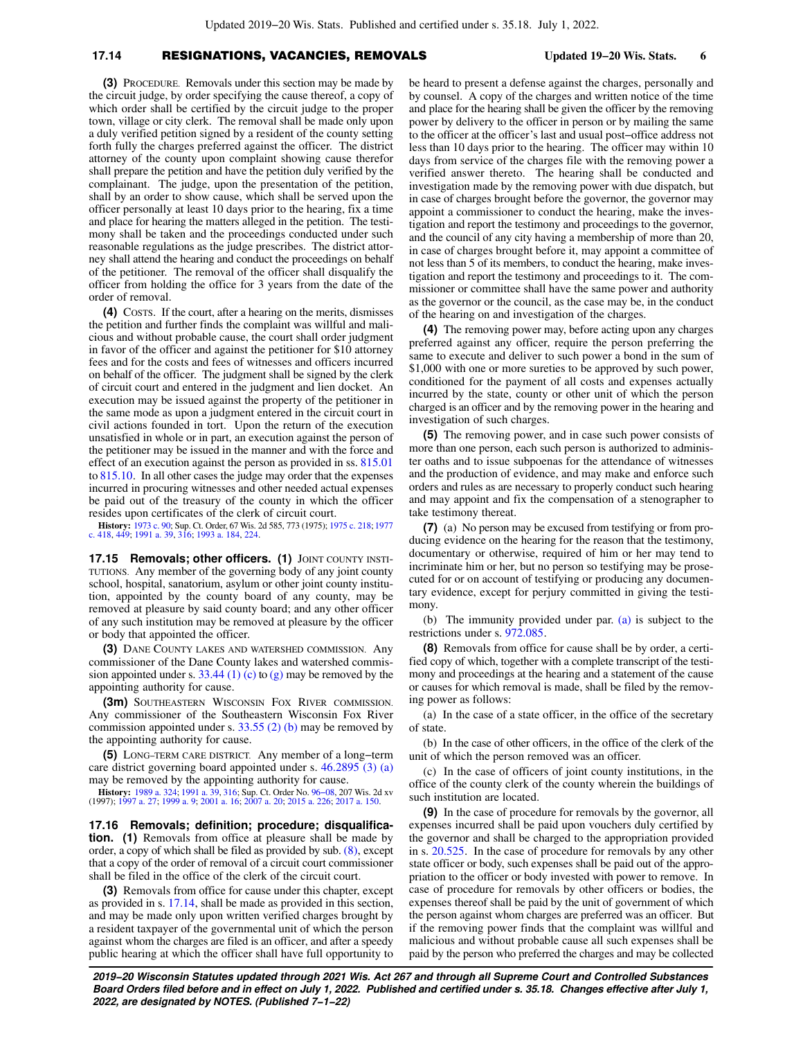### **17.14** RESIGNATIONS, VACANCIES, REMOVALS **Updated 19−20 Wis. Stats. 6**

**(3)** PROCEDURE. Removals under this section may be made by the circuit judge, by order specifying the cause thereof, a copy of which order shall be certified by the circuit judge to the proper town, village or city clerk. The removal shall be made only upon a duly verified petition signed by a resident of the county setting forth fully the charges preferred against the officer. The district attorney of the county upon complaint showing cause therefor shall prepare the petition and have the petition duly verified by the complainant. The judge, upon the presentation of the petition, shall by an order to show cause, which shall be served upon the officer personally at least 10 days prior to the hearing, fix a time and place for hearing the matters alleged in the petition. The testimony shall be taken and the proceedings conducted under such reasonable regulations as the judge prescribes. The district attorney shall attend the hearing and conduct the proceedings on behalf of the petitioner. The removal of the officer shall disqualify the officer from holding the office for 3 years from the date of the order of removal.

**(4)** COSTS. If the court, after a hearing on the merits, dismisses the petition and further finds the complaint was willful and malicious and without probable cause, the court shall order judgment in favor of the officer and against the petitioner for \$10 attorney fees and for the costs and fees of witnesses and officers incurred on behalf of the officer. The judgment shall be signed by the clerk of circuit court and entered in the judgment and lien docket. An execution may be issued against the property of the petitioner in the same mode as upon a judgment entered in the circuit court in civil actions founded in tort. Upon the return of the execution unsatisfied in whole or in part, an execution against the person of the petitioner may be issued in the manner and with the force and effect of an execution against the person as provided in ss. [815.01](https://docs.legis.wisconsin.gov/document/statutes/815.01) to [815.10](https://docs.legis.wisconsin.gov/document/statutes/815.10). In all other cases the judge may order that the expenses incurred in procuring witnesses and other needed actual expenses be paid out of the treasury of the county in which the officer resides upon certificates of the clerk of circuit court.

**History:** [1973 c. 90;](https://docs.legis.wisconsin.gov/document/acts/1973/90) Sup. Ct. Order, 67 Wis. 2d 585, 773 (1975); [1975 c. 218](https://docs.legis.wisconsin.gov/document/acts/1975/218); [1977](https://docs.legis.wisconsin.gov/document/acts/1977/418) [c. 418,](https://docs.legis.wisconsin.gov/document/acts/1977/418) [449;](https://docs.legis.wisconsin.gov/document/acts/1977/449) [1991 a. 39](https://docs.legis.wisconsin.gov/document/acts/1991/39), [316](https://docs.legis.wisconsin.gov/document/acts/1991/316); [1993 a. 184,](https://docs.legis.wisconsin.gov/document/acts/1993/184) [224.](https://docs.legis.wisconsin.gov/document/acts/1993/224)

**17.15 Removals; other officers. (1)** JOINT COUNTY INSTI-TUTIONS. Any member of the governing body of any joint county school, hospital, sanatorium, asylum or other joint county institution, appointed by the county board of any county, may be removed at pleasure by said county board; and any other officer of any such institution may be removed at pleasure by the officer or body that appointed the officer.

**(3)** DANE COUNTY LAKES AND WATERSHED COMMISSION. Any commissioner of the Dane County lakes and watershed commis-sion appointed under s. [33.44 \(1\) \(c\)](https://docs.legis.wisconsin.gov/document/statutes/33.44(1)(c)) to  $(g)$  may be removed by the appointing authority for cause.

**(3m)** SOUTHEASTERN WISCONSIN FOX RIVER COMMISSION. Any commissioner of the Southeastern Wisconsin Fox River commission appointed under s.  $33.55$  (2) (b) may be removed by the appointing authority for cause.

**(5)** LONG−TERM CARE DISTRICT. Any member of a long−term care district governing board appointed under s. [46.2895 \(3\) \(a\)](https://docs.legis.wisconsin.gov/document/statutes/46.2895(3)(a)) may be removed by the appointing authority for cause.

**History:** [1989 a. 324;](https://docs.legis.wisconsin.gov/document/acts/1989/324) [1991 a. 39](https://docs.legis.wisconsin.gov/document/acts/1991/39), [316;](https://docs.legis.wisconsin.gov/document/acts/1991/316) Sup. Ct. Order No. [96−08](https://docs.legis.wisconsin.gov/document/sco/96-08), 207 Wis. 2d xv (1997); [1997 a. 27;](https://docs.legis.wisconsin.gov/document/acts/1997/27) [1999 a. 9](https://docs.legis.wisconsin.gov/document/acts/1999/9); [2001 a. 16](https://docs.legis.wisconsin.gov/document/acts/2001/16); [2007 a. 20;](https://docs.legis.wisconsin.gov/document/acts/2007/20) [2015 a. 226](https://docs.legis.wisconsin.gov/document/acts/2015/226); [2017 a. 150.](https://docs.legis.wisconsin.gov/document/acts/2017/150)

**17.16 Removals; definition; procedure; disqualification. (1)** Removals from office at pleasure shall be made by order, a copy of which shall be filed as provided by sub. [\(8\),](https://docs.legis.wisconsin.gov/document/statutes/17.16(8)) except that a copy of the order of removal of a circuit court commissioner shall be filed in the office of the clerk of the circuit court.

**(3)** Removals from office for cause under this chapter, except as provided in s. [17.14,](https://docs.legis.wisconsin.gov/document/statutes/17.14) shall be made as provided in this section, and may be made only upon written verified charges brought by a resident taxpayer of the governmental unit of which the person against whom the charges are filed is an officer, and after a speedy public hearing at which the officer shall have full opportunity to

be heard to present a defense against the charges, personally and by counsel. A copy of the charges and written notice of the time and place for the hearing shall be given the officer by the removing power by delivery to the officer in person or by mailing the same to the officer at the officer's last and usual post−office address not less than 10 days prior to the hearing. The officer may within 10 days from service of the charges file with the removing power a verified answer thereto. The hearing shall be conducted and investigation made by the removing power with due dispatch, but in case of charges brought before the governor, the governor may appoint a commissioner to conduct the hearing, make the investigation and report the testimony and proceedings to the governor, and the council of any city having a membership of more than 20, in case of charges brought before it, may appoint a committee of not less than 5 of its members, to conduct the hearing, make investigation and report the testimony and proceedings to it. The commissioner or committee shall have the same power and authority as the governor or the council, as the case may be, in the conduct of the hearing on and investigation of the charges.

**(4)** The removing power may, before acting upon any charges preferred against any officer, require the person preferring the same to execute and deliver to such power a bond in the sum of \$1,000 with one or more sureties to be approved by such power, conditioned for the payment of all costs and expenses actually incurred by the state, county or other unit of which the person charged is an officer and by the removing power in the hearing and investigation of such charges.

**(5)** The removing power, and in case such power consists of more than one person, each such person is authorized to administer oaths and to issue subpoenas for the attendance of witnesses and the production of evidence, and may make and enforce such orders and rules as are necessary to properly conduct such hearing and may appoint and fix the compensation of a stenographer to take testimony thereat.

**(7)** (a) No person may be excused from testifying or from producing evidence on the hearing for the reason that the testimony, documentary or otherwise, required of him or her may tend to incriminate him or her, but no person so testifying may be prosecuted for or on account of testifying or producing any documentary evidence, except for perjury committed in giving the testimony.

(b) The immunity provided under par. [\(a\)](https://docs.legis.wisconsin.gov/document/statutes/17.16(7)(a)) is subject to the restrictions under s. [972.085.](https://docs.legis.wisconsin.gov/document/statutes/972.085)

**(8)** Removals from office for cause shall be by order, a certified copy of which, together with a complete transcript of the testimony and proceedings at the hearing and a statement of the cause or causes for which removal is made, shall be filed by the removing power as follows:

(a) In the case of a state officer, in the office of the secretary of state.

(b) In the case of other officers, in the office of the clerk of the unit of which the person removed was an officer.

(c) In the case of officers of joint county institutions, in the office of the county clerk of the county wherein the buildings of such institution are located.

**(9)** In the case of procedure for removals by the governor, all expenses incurred shall be paid upon vouchers duly certified by the governor and shall be charged to the appropriation provided in s. [20.525](https://docs.legis.wisconsin.gov/document/statutes/20.525). In the case of procedure for removals by any other state officer or body, such expenses shall be paid out of the appropriation to the officer or body invested with power to remove. In case of procedure for removals by other officers or bodies, the expenses thereof shall be paid by the unit of government of which the person against whom charges are preferred was an officer. But if the removing power finds that the complaint was willful and malicious and without probable cause all such expenses shall be paid by the person who preferred the charges and may be collected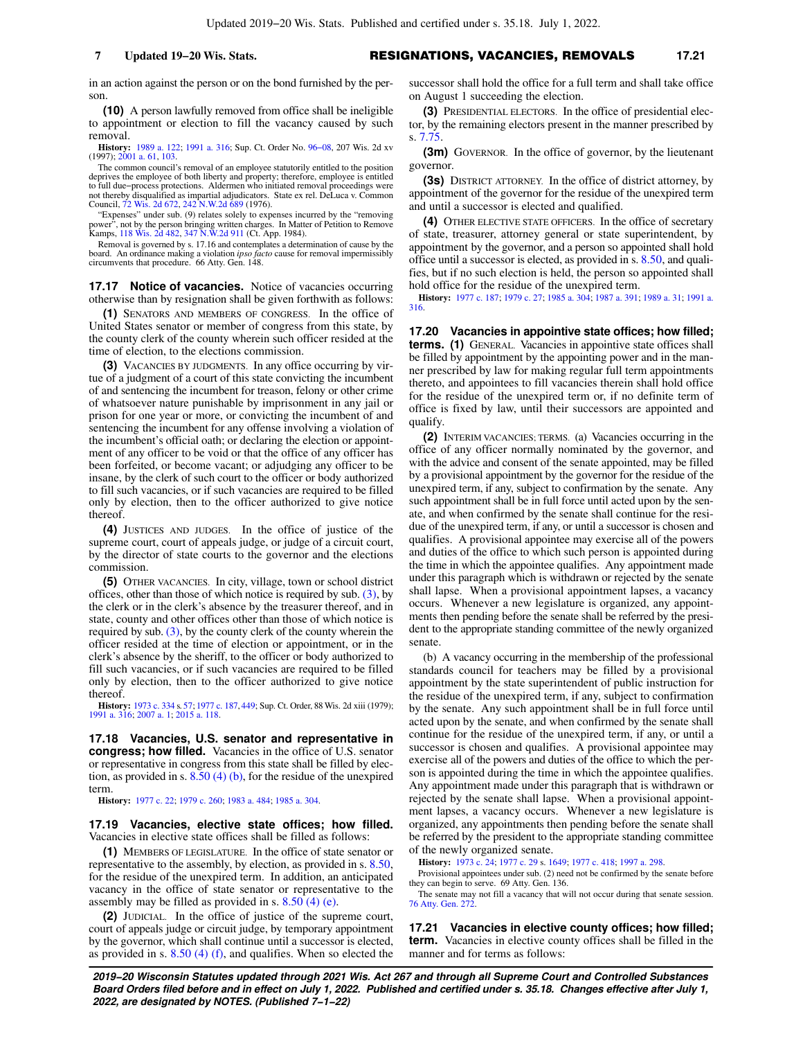in an action against the person or on the bond furnished by the person.

**(10)** A person lawfully removed from office shall be ineligible to appointment or election to fill the vacancy caused by such removal.

**History:** [1989 a. 122;](https://docs.legis.wisconsin.gov/document/acts/1989/122) [1991 a. 316](https://docs.legis.wisconsin.gov/document/acts/1991/316); Sup. Ct. Order No. [96−08,](https://docs.legis.wisconsin.gov/document/sco/96-08) 207 Wis. 2d xv (1997); [2001 a. 61,](https://docs.legis.wisconsin.gov/document/acts/2001/61) [103.](https://docs.legis.wisconsin.gov/document/acts/2001/103)

The common council's removal of an employee statutorily entitled to the position deprives the employee of both liberty and property; therefore, employee is entitled<br>to full due–process protections. Aldermen who initiated removal proceedings were<br>not thereby disqualified as impartial adjudicators. State Council, [72 Wis. 2d 672](https://docs.legis.wisconsin.gov/document/courts/72%20Wis.%202d%20672), [242 N.W.2d 689](https://docs.legis.wisconsin.gov/document/courts/242%20N.W.2d%20689) (1976).

"Expenses" under sub. (9) relates solely to expenses incurred by the "removing power", not by the person bringing written charges. In Matter of Petition to Remove Kamps, [118 Wis. 2d 482,](https://docs.legis.wisconsin.gov/document/courts/118%20Wis.%202d%20482) [347 N.W.2d 911](https://docs.legis.wisconsin.gov/document/courts/347%20N.W.2d%20911) (Ct. App. 1984).

Removal is governed by s. 17.16 and contemplates a determination of cause by the board. An ordinance making a violation *ipso facto* cause for removal impermissibly circumvents that procedure. 66 Atty. Gen. 148.

**17.17 Notice of vacancies.** Notice of vacancies occurring otherwise than by resignation shall be given forthwith as follows:

**(1)** SENATORS AND MEMBERS OF CONGRESS. In the office of United States senator or member of congress from this state, by the county clerk of the county wherein such officer resided at the time of election, to the elections commission.

**(3)** VACANCIES BY JUDGMENTS. In any office occurring by virtue of a judgment of a court of this state convicting the incumbent of and sentencing the incumbent for treason, felony or other crime of whatsoever nature punishable by imprisonment in any jail or prison for one year or more, or convicting the incumbent of and sentencing the incumbent for any offense involving a violation of the incumbent's official oath; or declaring the election or appointment of any officer to be void or that the office of any officer has been forfeited, or become vacant; or adjudging any officer to be insane, by the clerk of such court to the officer or body authorized to fill such vacancies, or if such vacancies are required to be filled only by election, then to the officer authorized to give notice thereof.

**(4)** JUSTICES AND JUDGES. In the office of justice of the supreme court, court of appeals judge, or judge of a circuit court, by the director of state courts to the governor and the elections commission.

**(5)** OTHER VACANCIES. In city, village, town or school district offices, other than those of which notice is required by sub.  $(3)$ , by the clerk or in the clerk's absence by the treasurer thereof, and in state, county and other offices other than those of which notice is required by sub.  $(3)$ , by the county clerk of the county wherein the officer resided at the time of election or appointment, or in the clerk's absence by the sheriff, to the officer or body authorized to fill such vacancies, or if such vacancies are required to be filled only by election, then to the officer authorized to give notice thereof.

**History:** [1973 c. 334](https://docs.legis.wisconsin.gov/document/acts/1973/334) s. [57;](https://docs.legis.wisconsin.gov/document/acts/1973/334,%20s.%2057) [1977 c. 187](https://docs.legis.wisconsin.gov/document/acts/1977/187), [449;](https://docs.legis.wisconsin.gov/document/acts/1977/449) Sup. Ct. Order, 88 Wis. 2d xiii (1979); [1991 a. 316;](https://docs.legis.wisconsin.gov/document/acts/1991/316) [2007 a. 1](https://docs.legis.wisconsin.gov/document/acts/2007/1); [2015 a. 118.](https://docs.legis.wisconsin.gov/document/acts/2015/118)

**17.18 Vacancies, U.S. senator and representative in congress; how filled.** Vacancies in the office of U.S. senator or representative in congress from this state shall be filled by election, as provided in s.  $8.50$  (4) (b), for the residue of the unexpired term.

**History:** [1977 c. 22;](https://docs.legis.wisconsin.gov/document/acts/1977/22) [1979 c. 260;](https://docs.legis.wisconsin.gov/document/acts/1979/260) [1983 a. 484](https://docs.legis.wisconsin.gov/document/acts/1983/484); [1985 a. 304.](https://docs.legis.wisconsin.gov/document/acts/1985/304)

**17.19 Vacancies, elective state offices; how filled.** Vacancies in elective state offices shall be filled as follows:

**(1)** MEMBERS OF LEGISLATURE. In the office of state senator or representative to the assembly, by election, as provided in s. [8.50,](https://docs.legis.wisconsin.gov/document/statutes/8.50) for the residue of the unexpired term. In addition, an anticipated vacancy in the office of state senator or representative to the assembly may be filled as provided in s. [8.50 \(4\) \(e\)](https://docs.legis.wisconsin.gov/document/statutes/8.50(4)(e)).

**(2)** JUDICIAL. In the office of justice of the supreme court, court of appeals judge or circuit judge, by temporary appointment by the governor, which shall continue until a successor is elected, as provided in s. [8.50 \(4\) \(f\)](https://docs.legis.wisconsin.gov/document/statutes/8.50(4)(f)), and qualifies. When so elected the successor shall hold the office for a full term and shall take office on August 1 succeeding the election.

**(3)** PRESIDENTIAL ELECTORS. In the office of presidential elector, by the remaining electors present in the manner prescribed by s. [7.75.](https://docs.legis.wisconsin.gov/document/statutes/7.75)

**(3m)** GOVERNOR. In the office of governor, by the lieutenant governor.

**(3s)** DISTRICT ATTORNEY. In the office of district attorney, by appointment of the governor for the residue of the unexpired term and until a successor is elected and qualified.

**(4)** OTHER ELECTIVE STATE OFFICERS. In the office of secretary of state, treasurer, attorney general or state superintendent, by appointment by the governor, and a person so appointed shall hold office until a successor is elected, as provided in s. [8.50,](https://docs.legis.wisconsin.gov/document/statutes/8.50) and qualifies, but if no such election is held, the person so appointed shall hold office for the residue of the unexpired term.

**History:** [1977 c. 187;](https://docs.legis.wisconsin.gov/document/acts/1977/187) [1979 c. 27;](https://docs.legis.wisconsin.gov/document/acts/1979/27) [1985 a. 304](https://docs.legis.wisconsin.gov/document/acts/1985/304); [1987 a. 391;](https://docs.legis.wisconsin.gov/document/acts/1987/391) [1989 a. 31;](https://docs.legis.wisconsin.gov/document/acts/1989/31) [1991 a.](https://docs.legis.wisconsin.gov/document/acts/1991/316) [316.](https://docs.legis.wisconsin.gov/document/acts/1991/316)

**17.20 Vacancies in appointive state offices; how filled; terms.** (1) GENERAL. Vacancies in appointive state offices shall be filled by appointment by the appointing power and in the manner prescribed by law for making regular full term appointments thereto, and appointees to fill vacancies therein shall hold office for the residue of the unexpired term or, if no definite term of office is fixed by law, until their successors are appointed and qualify.

**(2)** INTERIM VACANCIES; TERMS. (a) Vacancies occurring in the office of any officer normally nominated by the governor, and with the advice and consent of the senate appointed, may be filled by a provisional appointment by the governor for the residue of the unexpired term, if any, subject to confirmation by the senate. Any such appointment shall be in full force until acted upon by the senate, and when confirmed by the senate shall continue for the residue of the unexpired term, if any, or until a successor is chosen and qualifies. A provisional appointee may exercise all of the powers and duties of the office to which such person is appointed during the time in which the appointee qualifies. Any appointment made under this paragraph which is withdrawn or rejected by the senate shall lapse. When a provisional appointment lapses, a vacancy occurs. Whenever a new legislature is organized, any appointments then pending before the senate shall be referred by the president to the appropriate standing committee of the newly organized senate.

(b) A vacancy occurring in the membership of the professional standards council for teachers may be filled by a provisional appointment by the state superintendent of public instruction for the residue of the unexpired term, if any, subject to confirmation by the senate. Any such appointment shall be in full force until acted upon by the senate, and when confirmed by the senate shall continue for the residue of the unexpired term, if any, or until a successor is chosen and qualifies. A provisional appointee may exercise all of the powers and duties of the office to which the person is appointed during the time in which the appointee qualifies. Any appointment made under this paragraph that is withdrawn or rejected by the senate shall lapse. When a provisional appointment lapses, a vacancy occurs. Whenever a new legislature is organized, any appointments then pending before the senate shall be referred by the president to the appropriate standing committee of the newly organized senate.

**History:** [1973 c. 24](https://docs.legis.wisconsin.gov/document/acts/1973/24); [1977 c. 29](https://docs.legis.wisconsin.gov/document/acts/1977/29) s. [1649](https://docs.legis.wisconsin.gov/document/acts/1977/29,%20s.%201649); [1977 c. 418;](https://docs.legis.wisconsin.gov/document/acts/1977/418) [1997 a. 298.](https://docs.legis.wisconsin.gov/document/acts/1997/298)

Provisional appointees under sub. (2) need not be confirmed by the senate before they can begin to serve. 69 Atty. Gen. 136.

The senate may not fill a vacancy that will not occur during that senate session. [76 Atty. Gen. 272.](https://docs.legis.wisconsin.gov/document/oag/vol76-272)

**17.21 Vacancies in elective county offices; how filled; term.** Vacancies in elective county offices shall be filled in the manner and for terms as follows: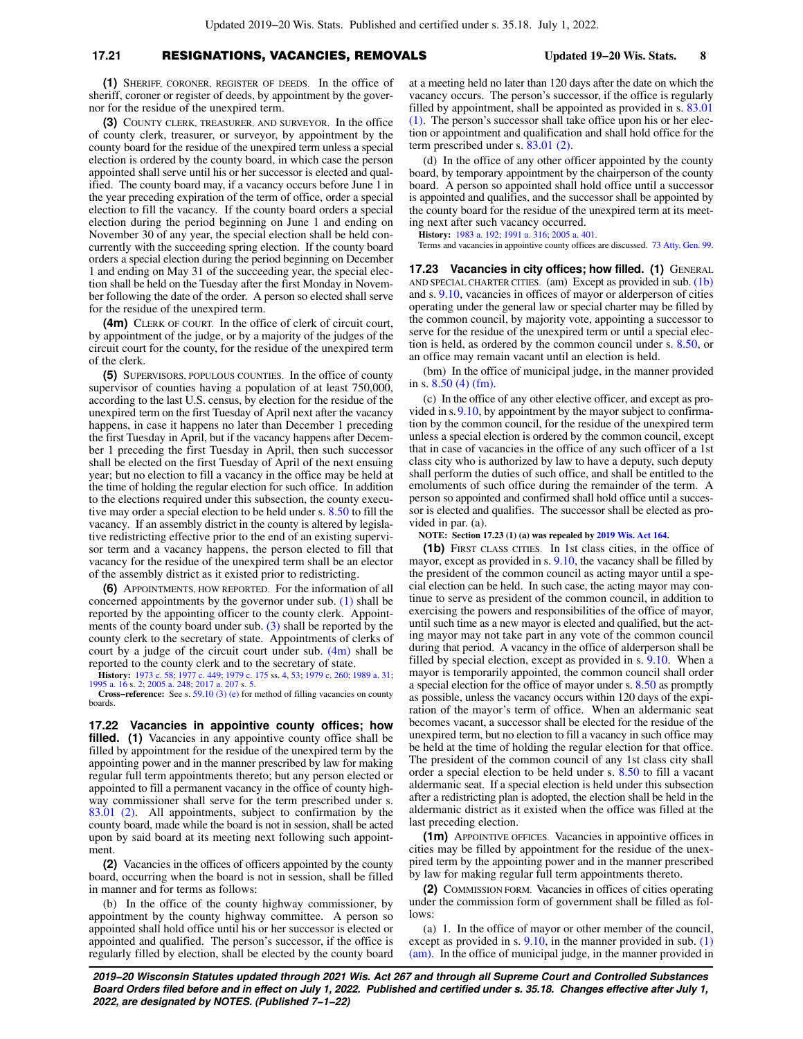#### **17.21** RESIGNATIONS, VACANCIES, REMOVALS **Updated 19−20 Wis. Stats. 8**

**(1)** SHERIFF, CORONER, REGISTER OF DEEDS. In the office of sheriff, coroner or register of deeds, by appointment by the governor for the residue of the unexpired term.

**(3)** COUNTY CLERK, TREASURER, AND SURVEYOR. In the office of county clerk, treasurer, or surveyor, by appointment by the county board for the residue of the unexpired term unless a special election is ordered by the county board, in which case the person appointed shall serve until his or her successor is elected and qualified. The county board may, if a vacancy occurs before June 1 in the year preceding expiration of the term of office, order a special election to fill the vacancy. If the county board orders a special election during the period beginning on June 1 and ending on November 30 of any year, the special election shall be held concurrently with the succeeding spring election. If the county board orders a special election during the period beginning on December 1 and ending on May 31 of the succeeding year, the special election shall be held on the Tuesday after the first Monday in November following the date of the order. A person so elected shall serve for the residue of the unexpired term.

**(4m)** CLERK OF COURT. In the office of clerk of circuit court, by appointment of the judge, or by a majority of the judges of the circuit court for the county, for the residue of the unexpired term of the clerk.

**(5)** SUPERVISORS, POPULOUS COUNTIES. In the office of county supervisor of counties having a population of at least 750,000, according to the last U.S. census, by election for the residue of the unexpired term on the first Tuesday of April next after the vacancy happens, in case it happens no later than December 1 preceding the first Tuesday in April, but if the vacancy happens after December 1 preceding the first Tuesday in April, then such successor shall be elected on the first Tuesday of April of the next ensuing year; but no election to fill a vacancy in the office may be held at the time of holding the regular election for such office. In addition to the elections required under this subsection, the county executive may order a special election to be held under s. [8.50](https://docs.legis.wisconsin.gov/document/statutes/8.50) to fill the vacancy. If an assembly district in the county is altered by legislative redistricting effective prior to the end of an existing supervisor term and a vacancy happens, the person elected to fill that vacancy for the residue of the unexpired term shall be an elector of the assembly district as it existed prior to redistricting.

**(6)** APPOINTMENTS, HOW REPORTED. For the information of all concerned appointments by the governor under sub. [\(1\)](https://docs.legis.wisconsin.gov/document/statutes/17.21(1)) shall be reported by the appointing officer to the county clerk. Appointments of the county board under sub. [\(3\)](https://docs.legis.wisconsin.gov/document/statutes/17.21(3)) shall be reported by the county clerk to the secretary of state. Appointments of clerks of court by a judge of the circuit court under sub. [\(4m\)](https://docs.legis.wisconsin.gov/document/statutes/17.21(4m)) shall be reported to the county clerk and to the secretary of state.

**History:** [1973 c. 58](https://docs.legis.wisconsin.gov/document/acts/1973/58); [1977 c. 449](https://docs.legis.wisconsin.gov/document/acts/1977/449); [1979 c. 175](https://docs.legis.wisconsin.gov/document/acts/1979/175) ss. [4,](https://docs.legis.wisconsin.gov/document/acts/1979/175,%20s.%204) [53](https://docs.legis.wisconsin.gov/document/acts/1979/175,%20s.%2053); [1979 c. 260](https://docs.legis.wisconsin.gov/document/acts/1979/260); [1989 a. 31](https://docs.legis.wisconsin.gov/document/acts/1989/31); [1995 a. 16](https://docs.legis.wisconsin.gov/document/acts/1995/16) s. [2;](https://docs.legis.wisconsin.gov/document/acts/1995/16,%20s.%202) [2005 a. 248](https://docs.legis.wisconsin.gov/document/acts/2005/248); [2017 a. 207](https://docs.legis.wisconsin.gov/document/acts/2017/207) s. [5.](https://docs.legis.wisconsin.gov/document/acts/2017/207,%20s.%205) **Cross−reference:** See s. [59.10 \(3\) \(e\)](https://docs.legis.wisconsin.gov/document/statutes/59.10(3)(e)) for method of filling vacancies on county

boards.

**17.22 Vacancies in appointive county offices; how** filled. (1) Vacancies in any appointive county office shall be filled by appointment for the residue of the unexpired term by the appointing power and in the manner prescribed by law for making regular full term appointments thereto; but any person elected or appointed to fill a permanent vacancy in the office of county highway commissioner shall serve for the term prescribed under s. [83.01 \(2\).](https://docs.legis.wisconsin.gov/document/statutes/83.01(2)) All appointments, subject to confirmation by the county board, made while the board is not in session, shall be acted upon by said board at its meeting next following such appointment

**(2)** Vacancies in the offices of officers appointed by the county board, occurring when the board is not in session, shall be filled in manner and for terms as follows:

(b) In the office of the county highway commissioner, by appointment by the county highway committee. A person so appointed shall hold office until his or her successor is elected or appointed and qualified. The person's successor, if the office is regularly filled by election, shall be elected by the county board at a meeting held no later than 120 days after the date on which the vacancy occurs. The person's successor, if the office is regularly filled by appointment, shall be appointed as provided in s. [83.01](https://docs.legis.wisconsin.gov/document/statutes/83.01(1)) [\(1\).](https://docs.legis.wisconsin.gov/document/statutes/83.01(1)) The person's successor shall take office upon his or her election or appointment and qualification and shall hold office for the term prescribed under s. [83.01 \(2\).](https://docs.legis.wisconsin.gov/document/statutes/83.01(2))

(d) In the office of any other officer appointed by the county board, by temporary appointment by the chairperson of the county board. A person so appointed shall hold office until a successor is appointed and qualifies, and the successor shall be appointed by the county board for the residue of the unexpired term at its meeting next after such vacancy occurred.

**History:** [1983 a. 192;](https://docs.legis.wisconsin.gov/document/acts/1983/192) [1991 a. 316](https://docs.legis.wisconsin.gov/document/acts/1991/316); [2005 a. 401.](https://docs.legis.wisconsin.gov/document/acts/2005/401)

Terms and vacancies in appointive county offices are discussed. [73 Atty. Gen. 99](https://docs.legis.wisconsin.gov/document/oag/vol73-99).

**17.23 Vacancies in city offices; how filled. (1)** GENERAL AND SPECIAL CHARTER CITIES. (am) Except as provided in sub. [\(1b\)](https://docs.legis.wisconsin.gov/document/statutes/17.23(1b)) and s. [9.10,](https://docs.legis.wisconsin.gov/document/statutes/9.10) vacancies in offices of mayor or alderperson of cities operating under the general law or special charter may be filled by the common council, by majority vote, appointing a successor to serve for the residue of the unexpired term or until a special election is held, as ordered by the common council under s. [8.50](https://docs.legis.wisconsin.gov/document/statutes/8.50), or an office may remain vacant until an election is held.

(bm) In the office of municipal judge, in the manner provided in s. [8.50 \(4\) \(fm\)](https://docs.legis.wisconsin.gov/document/statutes/8.50(4)(fm)).

(c) In the office of any other elective officer, and except as provided in s.[9.10,](https://docs.legis.wisconsin.gov/document/statutes/9.10) by appointment by the mayor subject to confirmation by the common council, for the residue of the unexpired term unless a special election is ordered by the common council, except that in case of vacancies in the office of any such officer of a 1st class city who is authorized by law to have a deputy, such deputy shall perform the duties of such office, and shall be entitled to the emoluments of such office during the remainder of the term. A person so appointed and confirmed shall hold office until a successor is elected and qualifies. The successor shall be elected as provided in par. (a).

**NOTE: Section 17.23 (1) (a) was repealed by [2019 Wis. Act 164.](https://docs.legis.wisconsin.gov/document/acts/2019/164)**

**(1b)** FIRST CLASS CITIES. In 1st class cities, in the office of mayor, except as provided in s. [9.10](https://docs.legis.wisconsin.gov/document/statutes/9.10), the vacancy shall be filled by the president of the common council as acting mayor until a special election can be held. In such case, the acting mayor may continue to serve as president of the common council, in addition to exercising the powers and responsibilities of the office of mayor, until such time as a new mayor is elected and qualified, but the acting mayor may not take part in any vote of the common council during that period. A vacancy in the office of alderperson shall be filled by special election, except as provided in s. [9.10](https://docs.legis.wisconsin.gov/document/statutes/9.10). When a mayor is temporarily appointed, the common council shall order a special election for the office of mayor under s. [8.50](https://docs.legis.wisconsin.gov/document/statutes/8.50) as promptly as possible, unless the vacancy occurs within 120 days of the expiration of the mayor's term of office. When an aldermanic seat becomes vacant, a successor shall be elected for the residue of the unexpired term, but no election to fill a vacancy in such office may be held at the time of holding the regular election for that office. The president of the common council of any 1st class city shall order a special election to be held under s. [8.50](https://docs.legis.wisconsin.gov/document/statutes/8.50) to fill a vacant aldermanic seat. If a special election is held under this subsection after a redistricting plan is adopted, the election shall be held in the aldermanic district as it existed when the office was filled at the last preceding election.

**(1m)** APPOINTIVE OFFICES. Vacancies in appointive offices in cities may be filled by appointment for the residue of the unexpired term by the appointing power and in the manner prescribed by law for making regular full term appointments thereto.

**(2)** COMMISSION FORM. Vacancies in offices of cities operating under the commission form of government shall be filled as follows:

(a) 1. In the office of mayor or other member of the council, except as provided in s. [9.10,](https://docs.legis.wisconsin.gov/document/statutes/9.10) in the manner provided in sub. [\(1\)](https://docs.legis.wisconsin.gov/document/statutes/17.23(1)(am)) [\(am\)](https://docs.legis.wisconsin.gov/document/statutes/17.23(1)(am)). In the office of municipal judge, in the manner provided in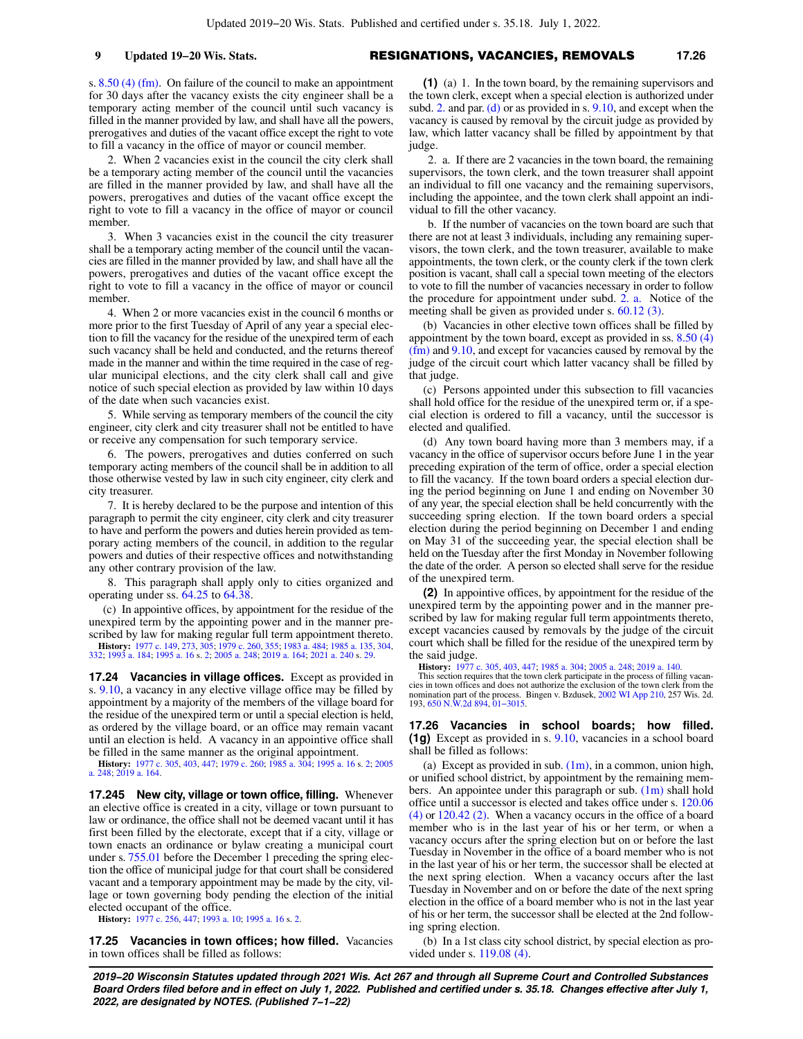s. [8.50 \(4\) \(fm\).](https://docs.legis.wisconsin.gov/document/statutes/8.50(4)(fm)) On failure of the council to make an appointment for 30 days after the vacancy exists the city engineer shall be a temporary acting member of the council until such vacancy is filled in the manner provided by law, and shall have all the powers, prerogatives and duties of the vacant office except the right to vote to fill a vacancy in the office of mayor or council member.

2. When 2 vacancies exist in the council the city clerk shall be a temporary acting member of the council until the vacancies are filled in the manner provided by law, and shall have all the powers, prerogatives and duties of the vacant office except the right to vote to fill a vacancy in the office of mayor or council member.

3. When 3 vacancies exist in the council the city treasurer shall be a temporary acting member of the council until the vacancies are filled in the manner provided by law, and shall have all the powers, prerogatives and duties of the vacant office except the right to vote to fill a vacancy in the office of mayor or council member.

4. When 2 or more vacancies exist in the council 6 months or more prior to the first Tuesday of April of any year a special election to fill the vacancy for the residue of the unexpired term of each such vacancy shall be held and conducted, and the returns thereof made in the manner and within the time required in the case of regular municipal elections, and the city clerk shall call and give notice of such special election as provided by law within 10 days of the date when such vacancies exist.

5. While serving as temporary members of the council the city engineer, city clerk and city treasurer shall not be entitled to have or receive any compensation for such temporary service.

6. The powers, prerogatives and duties conferred on such temporary acting members of the council shall be in addition to all those otherwise vested by law in such city engineer, city clerk and city treasurer.

7. It is hereby declared to be the purpose and intention of this paragraph to permit the city engineer, city clerk and city treasurer to have and perform the powers and duties herein provided as temporary acting members of the council, in addition to the regular powers and duties of their respective offices and notwithstanding any other contrary provision of the law.

8. This paragraph shall apply only to cities organized and operating under ss. [64.25](https://docs.legis.wisconsin.gov/document/statutes/64.25) to [64.38](https://docs.legis.wisconsin.gov/document/statutes/64.38).

(c) In appointive offices, by appointment for the residue of the unexpired term by the appointing power and in the manner prescribed by law for making regular full term appointment thereto.

**History:** [1977 c. 149](https://docs.legis.wisconsin.gov/document/acts/1977/149), [273](https://docs.legis.wisconsin.gov/document/acts/1977/273), [305;](https://docs.legis.wisconsin.gov/document/acts/1977/305) [1979 c. 260,](https://docs.legis.wisconsin.gov/document/acts/1979/260) [355;](https://docs.legis.wisconsin.gov/document/acts/1979/355) [1983 a. 484;](https://docs.legis.wisconsin.gov/document/acts/1983/484) [1985 a. 135](https://docs.legis.wisconsin.gov/document/acts/1985/135), [304](https://docs.legis.wisconsin.gov/document/acts/1985/304), [332](https://docs.legis.wisconsin.gov/document/acts/1985/332); [1993 a. 184;](https://docs.legis.wisconsin.gov/document/acts/1993/184) [1995 a. 16](https://docs.legis.wisconsin.gov/document/acts/1995/16) s. [2;](https://docs.legis.wisconsin.gov/document/acts/1995/16,%20s.%202) [2005 a. 248](https://docs.legis.wisconsin.gov/document/acts/2005/248); [2019 a. 164](https://docs.legis.wisconsin.gov/document/acts/2019/164); [2021 a. 240](https://docs.legis.wisconsin.gov/document/acts/2021/240) s. [29.](https://docs.legis.wisconsin.gov/document/acts/2021/240,%20s.%2029)

**17.24 Vacancies in village offices.** Except as provided in s. [9.10,](https://docs.legis.wisconsin.gov/document/statutes/9.10) a vacancy in any elective village office may be filled by appointment by a majority of the members of the village board for the residue of the unexpired term or until a special election is held, as ordered by the village board, or an office may remain vacant until an election is held. A vacancy in an appointive office shall be filled in the same manner as the original appointment.

**History:** [1977 c. 305](https://docs.legis.wisconsin.gov/document/acts/1977/305), [403](https://docs.legis.wisconsin.gov/document/acts/1977/403), [447](https://docs.legis.wisconsin.gov/document/acts/1977/447); [1979 c. 260](https://docs.legis.wisconsin.gov/document/acts/1979/260); [1985 a. 304;](https://docs.legis.wisconsin.gov/document/acts/1985/304) [1995 a. 16](https://docs.legis.wisconsin.gov/document/acts/1995/16) s. [2](https://docs.legis.wisconsin.gov/document/acts/1995/16,%20s.%202); [2005](https://docs.legis.wisconsin.gov/document/acts/2005/248) [a. 248;](https://docs.legis.wisconsin.gov/document/acts/2005/248) [2019 a. 164.](https://docs.legis.wisconsin.gov/document/acts/2019/164)

**17.245 New city, village or town office, filling.** Whenever an elective office is created in a city, village or town pursuant to law or ordinance, the office shall not be deemed vacant until it has first been filled by the electorate, except that if a city, village or town enacts an ordinance or bylaw creating a municipal court under s. [755.01](https://docs.legis.wisconsin.gov/document/statutes/755.01) before the December 1 preceding the spring election the office of municipal judge for that court shall be considered vacant and a temporary appointment may be made by the city, village or town governing body pending the election of the initial elected occupant of the office.

**History:** [1977 c. 256](https://docs.legis.wisconsin.gov/document/acts/1977/256), [447](https://docs.legis.wisconsin.gov/document/acts/1977/447); [1993 a. 10;](https://docs.legis.wisconsin.gov/document/acts/1993/10) [1995 a. 16](https://docs.legis.wisconsin.gov/document/acts/1995/16) s. [2](https://docs.legis.wisconsin.gov/document/acts/1995/16,%20s.%202).

**17.25 Vacancies in town offices; how filled.** Vacancies in town offices shall be filled as follows:

**(1)** (a)1. In the town board, by the remaining supervisors and the town clerk, except when a special election is authorized under subd. [2.](https://docs.legis.wisconsin.gov/document/statutes/17.25(1)(a)2.) and par. [\(d\)](https://docs.legis.wisconsin.gov/document/statutes/17.25(1)(d)) or as provided in s. [9.10,](https://docs.legis.wisconsin.gov/document/statutes/9.10) and except when the vacancy is caused by removal by the circuit judge as provided by law, which latter vacancy shall be filled by appointment by that judge.

2. a. If there are 2 vacancies in the town board, the remaining supervisors, the town clerk, and the town treasurer shall appoint an individual to fill one vacancy and the remaining supervisors, including the appointee, and the town clerk shall appoint an individual to fill the other vacancy.

b. If the number of vacancies on the town board are such that there are not at least 3 individuals, including any remaining supervisors, the town clerk, and the town treasurer, available to make appointments, the town clerk, or the county clerk if the town clerk position is vacant, shall call a special town meeting of the electors to vote to fill the number of vacancies necessary in order to follow the procedure for appointment under subd. [2. a.](https://docs.legis.wisconsin.gov/document/statutes/17.25(1)(a)2.a.) Notice of the meeting shall be given as provided under s. [60.12 \(3\)](https://docs.legis.wisconsin.gov/document/statutes/60.12(3)).

(b) Vacancies in other elective town offices shall be filled by appointment by the town board, except as provided in ss. [8.50 \(4\)](https://docs.legis.wisconsin.gov/document/statutes/8.50(4)(fm)) [\(fm\)](https://docs.legis.wisconsin.gov/document/statutes/8.50(4)(fm)) and [9.10](https://docs.legis.wisconsin.gov/document/statutes/9.10), and except for vacancies caused by removal by the judge of the circuit court which latter vacancy shall be filled by that judge.

(c) Persons appointed under this subsection to fill vacancies shall hold office for the residue of the unexpired term or, if a special election is ordered to fill a vacancy, until the successor is elected and qualified.

(d) Any town board having more than 3 members may, if a vacancy in the office of supervisor occurs before June 1 in the year preceding expiration of the term of office, order a special election to fill the vacancy. If the town board orders a special election during the period beginning on June 1 and ending on November 30 of any year, the special election shall be held concurrently with the succeeding spring election. If the town board orders a special election during the period beginning on December 1 and ending on May 31 of the succeeding year, the special election shall be held on the Tuesday after the first Monday in November following the date of the order. A person so elected shall serve for the residue of the unexpired term.

**(2)** In appointive offices, by appointment for the residue of the unexpired term by the appointing power and in the manner prescribed by law for making regular full term appointments thereto, except vacancies caused by removals by the judge of the circuit court which shall be filled for the residue of the unexpired term by the said judge.

**History:** [1977 c. 305,](https://docs.legis.wisconsin.gov/document/acts/1977/305) [403,](https://docs.legis.wisconsin.gov/document/acts/1977/403) [447;](https://docs.legis.wisconsin.gov/document/acts/1977/447) [1985 a. 304](https://docs.legis.wisconsin.gov/document/acts/1985/304); [2005 a. 248](https://docs.legis.wisconsin.gov/document/acts/2005/248); [2019 a. 140.](https://docs.legis.wisconsin.gov/document/acts/2019/140) This section requires that the town clerk participate in the process of filling vacancies in town offices and does not authorize the exclusion of the town clerk from the nomination part of the process. Bingen v. Bzdusek, [2002 WI App 210](https://docs.legis.wisconsin.gov/document/courts/2002%20WI%20App%20210), 257 Wis. 2d. 193, [650 N.W.2d 894](https://docs.legis.wisconsin.gov/document/courts/650%20N.W.2d%20894), [01−3015](https://docs.legis.wisconsin.gov/document/wicourtofappeals/01-3015).

**17.26 Vacancies in school boards; how filled. (1g)** Except as provided in s. [9.10](https://docs.legis.wisconsin.gov/document/statutes/9.10), vacancies in a school board shall be filled as follows:

(a) Except as provided in sub.  $(1m)$ , in a common, union high, or unified school district, by appointment by the remaining members. An appointee under this paragraph or sub.  $(1m)$  shall hold office until a successor is elected and takes office under s. [120.06](https://docs.legis.wisconsin.gov/document/statutes/120.06(4)) [\(4\)](https://docs.legis.wisconsin.gov/document/statutes/120.06(4)) or [120.42 \(2\)](https://docs.legis.wisconsin.gov/document/statutes/120.42(2)). When a vacancy occurs in the office of a board member who is in the last year of his or her term, or when a vacancy occurs after the spring election but on or before the last Tuesday in November in the office of a board member who is not in the last year of his or her term, the successor shall be elected at the next spring election. When a vacancy occurs after the last Tuesday in November and on or before the date of the next spring election in the office of a board member who is not in the last year of his or her term, the successor shall be elected at the 2nd following spring election.

(b) In a 1st class city school district, by special election as provided under s. [119.08 \(4\).](https://docs.legis.wisconsin.gov/document/statutes/119.08(4))